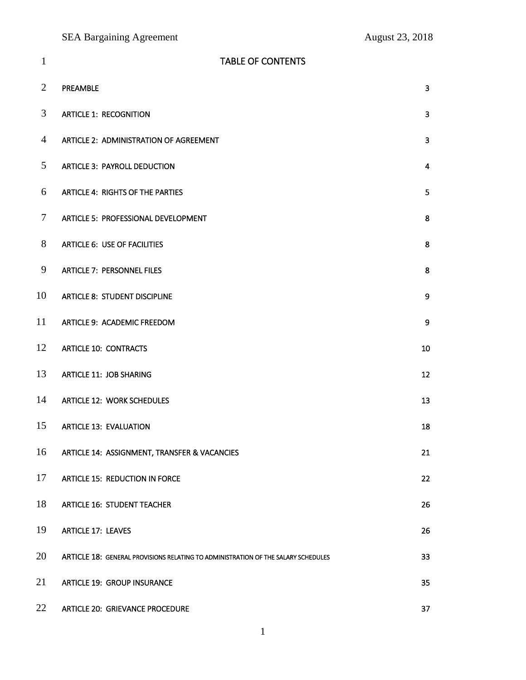| $\mathbf{1}$   | <b>TABLE OF CONTENTS</b>                                                          |                         |
|----------------|-----------------------------------------------------------------------------------|-------------------------|
| $\overline{2}$ | PREAMBLE                                                                          | $\overline{\mathbf{3}}$ |
| 3              | <b>ARTICLE 1: RECOGNITION</b>                                                     | 3                       |
| $\overline{4}$ | ARTICLE 2: ADMINISTRATION OF AGREEMENT                                            | 3                       |
| 5              | <b>ARTICLE 3: PAYROLL DEDUCTION</b>                                               | $\overline{\mathbf{4}}$ |
| 6              | <b>ARTICLE 4: RIGHTS OF THE PARTIES</b>                                           | 5                       |
| $\tau$         | ARTICLE 5: PROFESSIONAL DEVELOPMENT                                               | 8                       |
| 8              | <b>ARTICLE 6: USE OF FACILITIES</b>                                               | $\bf 8$                 |
| 9              | <b>ARTICLE 7: PERSONNEL FILES</b>                                                 | $\bf 8$                 |
| 10             | <b>ARTICLE 8: STUDENT DISCIPLINE</b>                                              | 9                       |
| 11             | ARTICLE 9: ACADEMIC FREEDOM                                                       | 9                       |
| 12             | <b>ARTICLE 10: CONTRACTS</b>                                                      | 10                      |
| 13             | <b>ARTICLE 11: JOB SHARING</b>                                                    | 12                      |
| 14             | <b>ARTICLE 12: WORK SCHEDULES</b>                                                 | 13                      |
| 15             | <b>ARTICLE 13: EVALUATION</b>                                                     | 18                      |
| 16             | ARTICLE 14: ASSIGNMENT, TRANSFER & VACANCIES                                      | 21                      |
| 17             | ARTICLE 15: REDUCTION IN FORCE                                                    | 22                      |
| 18             | <b>ARTICLE 16: STUDENT TEACHER</b>                                                | 26                      |
| 19             | <b>ARTICLE 17: LEAVES</b>                                                         | 26                      |
| 20             | ARTICLE 18: GENERAL PROVISIONS RELATING TO ADMINISTRATION OF THE SALARY SCHEDULES | 33                      |
| 21             | ARTICLE 19: GROUP INSURANCE                                                       | 35                      |
| 22             | ARTICLE 20: GRIEVANCE PROCEDURE                                                   | 37                      |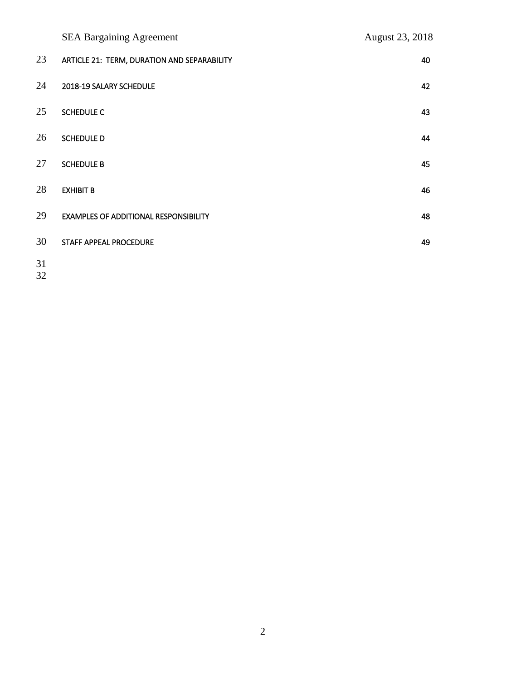|    | <b>SEA Bargaining Agreement</b>              | August 23, 2018 |
|----|----------------------------------------------|-----------------|
| 23 | ARTICLE 21: TERM, DURATION AND SEPARABILITY  | 40              |
| 24 | 2018-19 SALARY SCHEDULE                      | 42              |
| 25 | <b>SCHEDULE C</b>                            | 43              |
| 26 | <b>SCHEDULE D</b>                            | 44              |
| 27 | <b>SCHEDULE B</b>                            | 45              |
| 28 | <b>EXHIBIT B</b>                             | 46              |
| 29 | <b>EXAMPLES OF ADDITIONAL RESPONSIBILITY</b> | 48              |
| 30 | STAFF APPEAL PROCEDURE                       | 49              |
| 31 |                                              |                 |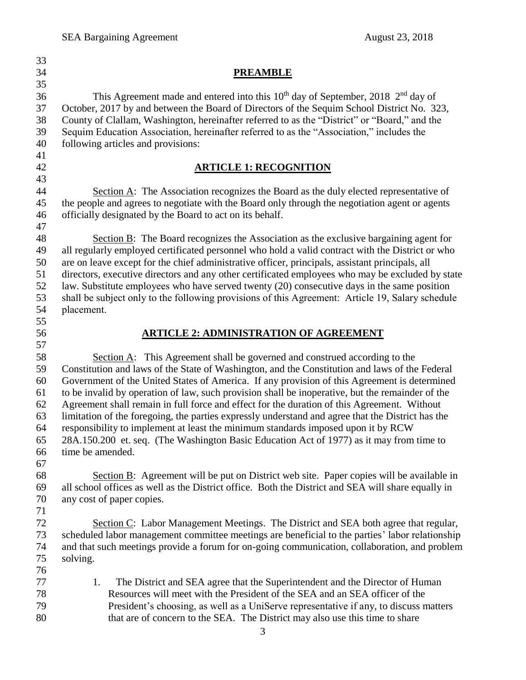| 33 |                                                                                                    |
|----|----------------------------------------------------------------------------------------------------|
| 34 | <b>PREAMBLE</b>                                                                                    |
| 35 |                                                                                                    |
| 36 | This Agreement made and entered into this $10^{th}$ day of September, 2018 $2^{nd}$ day of         |
| 37 | October, 2017 by and between the Board of Directors of the Sequim School District No. 323,         |
| 38 | County of Clallam, Washington, hereinafter referred to as the "District" or "Board," and the       |
| 39 | Sequim Education Association, hereinafter referred to as the "Association," includes the           |
| 40 | following articles and provisions:                                                                 |
| 41 |                                                                                                    |
| 42 | <b>ARTICLE 1: RECOGNITION</b>                                                                      |
| 43 |                                                                                                    |
| 44 | Section $A$ : The Association recognizes the Board as the duly elected representative of           |
| 45 | the people and agrees to negotiate with the Board only through the negotiation agent or agents     |
| 46 | officially designated by the Board to act on its behalf.                                           |
| 47 |                                                                                                    |
| 48 | Section B: The Board recognizes the Association as the exclusive bargaining agent for              |
| 49 | all regularly employed certificated personnel who hold a valid contract with the District or who   |
| 50 | are on leave except for the chief administrative officer, principals, assistant principals, all    |
| 51 | directors, executive directors and any other certificated employees who may be excluded by state   |
| 52 | law. Substitute employees who have served twenty (20) consecutive days in the same position        |
| 53 | shall be subject only to the following provisions of this Agreement: Article 19, Salary schedule   |
| 54 | placement.                                                                                         |
| 55 |                                                                                                    |
| 56 | <b>ARTICLE 2: ADMINISTRATION OF AGREEMENT</b>                                                      |
| 57 |                                                                                                    |
| 58 | Section $\overline{A}$ : This Agreement shall be governed and construed according to the           |
| 59 | Constitution and laws of the State of Washington, and the Constitution and laws of the Federal     |
| 60 | Government of the United States of America. If any provision of this Agreement is determined       |
| 61 | to be invalid by operation of law, such provision shall be inoperative, but the remainder of the   |
| 62 | Agreement shall remain in full force and effect for the duration of this Agreement. Without        |
| 63 | limitation of the foregoing, the parties expressly understand and agree that the District has the  |
| 64 | responsibility to implement at least the minimum standards imposed upon it by RCW                  |
| 65 | 28A.150.200 et. seq. (The Washington Basic Education Act of 1977) as it may from time to           |
| 66 | time be amended.                                                                                   |
| 67 |                                                                                                    |
| 68 | Section B: Agreement will be put on District web site. Paper copies will be available in           |
| 69 | all school offices as well as the District office. Both the District and SEA will share equally in |
| 70 | any cost of paper copies.                                                                          |
| 71 |                                                                                                    |
| 72 | Section C: Labor Management Meetings. The District and SEA both agree that regular,                |
| 73 | scheduled labor management committee meetings are beneficial to the parties' labor relationship    |
| 74 | and that such meetings provide a forum for on-going communication, collaboration, and problem      |
| 75 | solving.                                                                                           |
| 76 |                                                                                                    |
| 77 | The District and SEA agree that the Superintendent and the Director of Human<br>1.                 |
| 78 | Resources will meet with the President of the SEA and an SEA officer of the                        |
| 79 | President's choosing, as well as a UniServe representative if any, to discuss matters              |
| 80 | that are of concern to the SEA. The District may also use this time to share                       |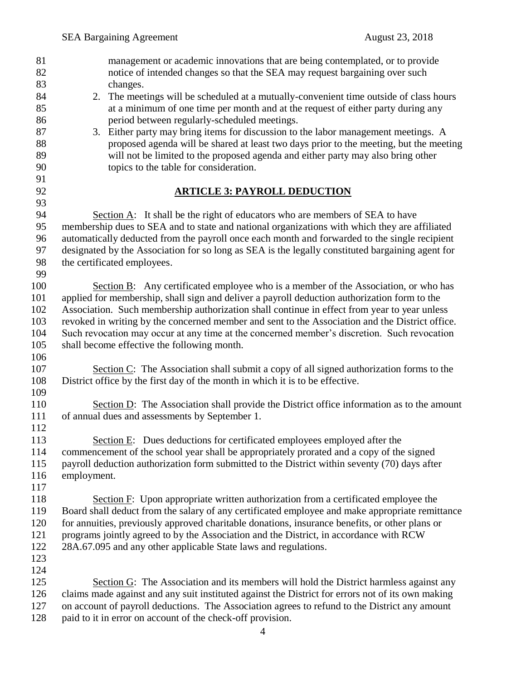management or academic innovations that are being contemplated, or to provide notice of intended changes so that the SEA may request bargaining over such changes. 2. The meetings will be scheduled at a mutually-convenient time outside of class hours at a minimum of one time per month and at the request of either party during any period between regularly-scheduled meetings. 3. Either party may bring items for discussion to the labor management meetings. A proposed agenda will be shared at least two days prior to the meeting, but the meeting will not be limited to the proposed agenda and either party may also bring other topics to the table for consideration. **ARTICLE 3: PAYROLL DEDUCTION** Section A: It shall be the right of educators who are members of SEA to have membership dues to SEA and to state and national organizations with which they are affiliated automatically deducted from the payroll once each month and forwarded to the single recipient designated by the Association for so long as SEA is the legally constituted bargaining agent for the certificated employees. Section B: Any certificated employee who is a member of the Association, or who has applied for membership, shall sign and deliver a payroll deduction authorization form to the Association. Such membership authorization shall continue in effect from year to year unless revoked in writing by the concerned member and sent to the Association and the District office. Such revocation may occur at any time at the concerned member's discretion. Such revocation shall become effective the following month. Section C: The Association shall submit a copy of all signed authorization forms to the District office by the first day of the month in which it is to be effective. Section D: The Association shall provide the District office information as to the amount of annual dues and assessments by September 1. Section E: Dues deductions for certificated employees employed after the commencement of the school year shall be appropriately prorated and a copy of the signed payroll deduction authorization form submitted to the District within seventy (70) days after employment. Section F: Upon appropriate written authorization from a certificated employee the Board shall deduct from the salary of any certificated employee and make appropriate remittance for annuities, previously approved charitable donations, insurance benefits, or other plans or programs jointly agreed to by the Association and the District, in accordance with RCW 28A.67.095 and any other applicable State laws and regulations. 125 Section G: The Association and its members will hold the District harmless against any claims made against and any suit instituted against the District for errors not of its own making on account of payroll deductions. The Association agrees to refund to the District any amount paid to it in error on account of the check-off provision.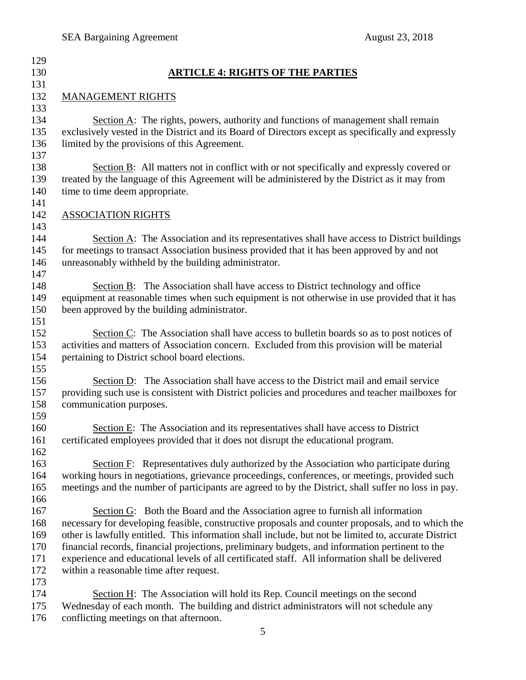| 129        |                                                                                                                             |
|------------|-----------------------------------------------------------------------------------------------------------------------------|
| 130        | <b>ARTICLE 4: RIGHTS OF THE PARTIES</b>                                                                                     |
| 131        |                                                                                                                             |
| 132        | <b>MANAGEMENT RIGHTS</b>                                                                                                    |
| 133        |                                                                                                                             |
| 134        | Section $A$ : The rights, powers, authority and functions of management shall remain                                        |
| 135        | exclusively vested in the District and its Board of Directors except as specifically and expressly                          |
| 136        | limited by the provisions of this Agreement.                                                                                |
| 137        |                                                                                                                             |
| 138        | Section $\underline{B}$ : All matters not in conflict with or not specifically and expressly covered or                     |
| 139        | treated by the language of this Agreement will be administered by the District as it may from                               |
| 140        | time to time deem appropriate.                                                                                              |
| 141        |                                                                                                                             |
| 142        | <b>ASSOCIATION RIGHTS</b>                                                                                                   |
| 143        |                                                                                                                             |
| 144        | Section A: The Association and its representatives shall have access to District buildings                                  |
| 145        | for meetings to transact Association business provided that it has been approved by and not                                 |
| 146        | unreasonably withheld by the building administrator.                                                                        |
| 147        |                                                                                                                             |
| 148        | Section B: The Association shall have access to District technology and office                                              |
| 149        | equipment at reasonable times when such equipment is not otherwise in use provided that it has                              |
| 150        | been approved by the building administrator.                                                                                |
| 151        |                                                                                                                             |
| 152        | Section C: The Association shall have access to bulletin boards so as to post notices of                                    |
| 153        | activities and matters of Association concern. Excluded from this provision will be material                                |
| 154        | pertaining to District school board elections.                                                                              |
| 155        |                                                                                                                             |
| 156        | Section D: The Association shall have access to the District mail and email service                                         |
| 157<br>158 | providing such use is consistent with District policies and procedures and teacher mailboxes for<br>communication purposes. |
| 159        |                                                                                                                             |
| 160        | Section E: The Association and its representatives shall have access to District                                            |
| 161        | certificated employees provided that it does not disrupt the educational program.                                           |
| 162        |                                                                                                                             |
| 163        | Section F: Representatives duly authorized by the Association who participate during                                        |
| 164        | working hours in negotiations, grievance proceedings, conferences, or meetings, provided such                               |
| 165        | meetings and the number of participants are agreed to by the District, shall suffer no loss in pay.                         |
| 166        |                                                                                                                             |
| 167        | Section G: Both the Board and the Association agree to furnish all information                                              |
| 168        | necessary for developing feasible, constructive proposals and counter proposals, and to which the                           |
| 169        | other is lawfully entitled. This information shall include, but not be limited to, accurate District                        |
| 170        | financial records, financial projections, preliminary budgets, and information pertinent to the                             |
| 171        | experience and educational levels of all certificated staff. All information shall be delivered                             |
| 172        | within a reasonable time after request.                                                                                     |
| 173        |                                                                                                                             |
| 174        | Section H: The Association will hold its Rep. Council meetings on the second                                                |
| 175        | Wednesday of each month. The building and district administrators will not schedule any                                     |
| 176        | conflicting meetings on that afternoon.                                                                                     |
|            |                                                                                                                             |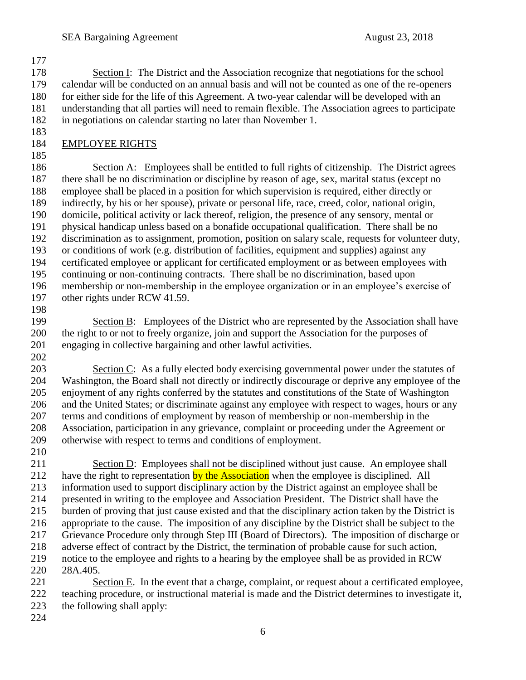Section I: The District and the Association recognize that negotiations for the school calendar will be conducted on an annual basis and will not be counted as one of the re-openers for either side for the life of this Agreement. A two-year calendar will be developed with an understanding that all parties will need to remain flexible. The Association agrees to participate in negotiations on calendar starting no later than November 1.

#### EMPLOYEE RIGHTS

 Section A: Employees shall be entitled to full rights of citizenship. The District agrees there shall be no discrimination or discipline by reason of age, sex, marital status (except no employee shall be placed in a position for which supervision is required, either directly or indirectly, by his or her spouse), private or personal life, race, creed, color, national origin, domicile, political activity or lack thereof, religion, the presence of any sensory, mental or physical handicap unless based on a bonafide occupational qualification. There shall be no discrimination as to assignment, promotion, position on salary scale, requests for volunteer duty, or conditions of work (e.g. distribution of facilities, equipment and supplies) against any certificated employee or applicant for certificated employment or as between employees with continuing or non-continuing contracts. There shall be no discrimination, based upon membership or non-membership in the employee organization or in an employee's exercise of other rights under RCW 41.59.

 Section B: Employees of the District who are represented by the Association shall have the right to or not to freely organize, join and support the Association for the purposes of engaging in collective bargaining and other lawful activities.

 Section C: As a fully elected body exercising governmental power under the statutes of Washington, the Board shall not directly or indirectly discourage or deprive any employee of the enjoyment of any rights conferred by the statutes and constitutions of the State of Washington and the United States; or discriminate against any employee with respect to wages, hours or any terms and conditions of employment by reason of membership or non-membership in the Association, participation in any grievance, complaint or proceeding under the Agreement or otherwise with respect to terms and conditions of employment.

 Section D: Employees shall not be disciplined without just cause. An employee shall 212 have the right to representation by the Association when the employee is disciplined. All information used to support disciplinary action by the District against an employee shall be presented in writing to the employee and Association President. The District shall have the burden of proving that just cause existed and that the disciplinary action taken by the District is appropriate to the cause. The imposition of any discipline by the District shall be subject to the Grievance Procedure only through Step III (Board of Directors). The imposition of discharge or adverse effect of contract by the District, the termination of probable cause for such action, notice to the employee and rights to a hearing by the employee shall be as provided in RCW 28A.405.

 Section E. In the event that a charge, complaint, or request about a certificated employee, teaching procedure, or instructional material is made and the District determines to investigate it, the following shall apply: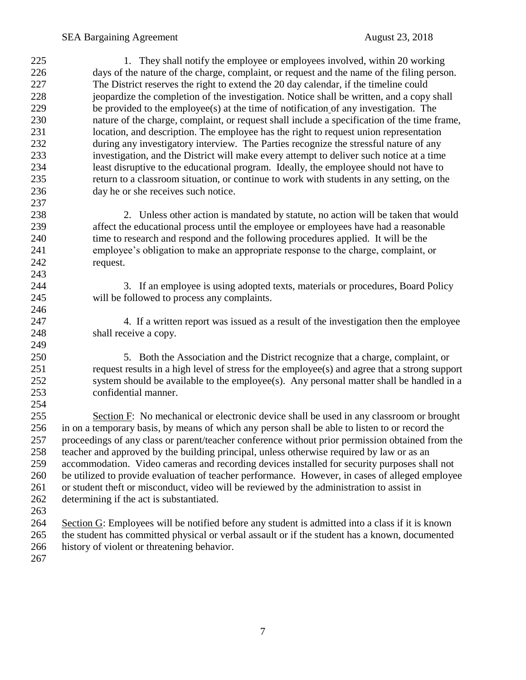- 1. They shall notify the employee or employees involved, within 20 working days of the nature of the charge, complaint, or request and the name of the filing person. The District reserves the right to extend the 20 day calendar, if the timeline could jeopardize the completion of the investigation. Notice shall be written, and a copy shall be provided to the employee(s) at the time of notification of any investigation. The nature of the charge, complaint, or request shall include a specification of the time frame, location, and description. The employee has the right to request union representation during any investigatory interview. The Parties recognize the stressful nature of any investigation, and the District will make every attempt to deliver such notice at a time least disruptive to the educational program. Ideally, the employee should not have to return to a classroom situation, or continue to work with students in any setting, on the day he or she receives such notice. 2. Unless other action is mandated by statute, no action will be taken that would affect the educational process until the employee or employees have had a reasonable time to research and respond and the following procedures applied. It will be the employee's obligation to make an appropriate response to the charge, complaint, or request. 3. If an employee is using adopted texts, materials or procedures, Board Policy will be followed to process any complaints. 4. If a written report was issued as a result of the investigation then the employee shall receive a copy*.* 5. Both the Association and the District recognize that a charge, complaint, or
- request results in a high level of stress for the employee(s) and agree that a strong support system should be available to the employee(s). Any personal matter shall be handled in a confidential manner.

 Section F: No mechanical or electronic device shall be used in any classroom or brought in on a temporary basis, by means of which any person shall be able to listen to or record the proceedings of any class or parent/teacher conference without prior permission obtained from the teacher and approved by the building principal, unless otherwise required by law or as an accommodation. Video cameras and recording devices installed for security purposes shall not be utilized to provide evaluation of teacher performance. However, in cases of alleged employee or student theft or misconduct, video will be reviewed by the administration to assist in determining if the act is substantiated.

 Section G: Employees will be notified before any student is admitted into a class if it is known the student has committed physical or verbal assault or if the student has a known, documented history of violent or threatening behavior.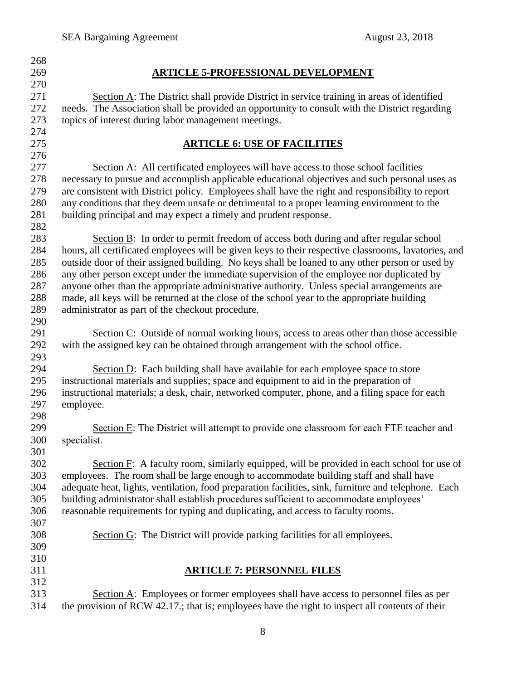| 268        |                                                                                                         |
|------------|---------------------------------------------------------------------------------------------------------|
| 269        | <b>ARTICLE 5-PROFESSIONAL DEVELOPMENT</b>                                                               |
| 270        |                                                                                                         |
| 271        | Section $\overline{A}$ : The District shall provide District in service training in areas of identified |
| 272        | needs. The Association shall be provided an opportunity to consult with the District regarding          |
| 273        | topics of interest during labor management meetings.                                                    |
| 274        |                                                                                                         |
| 275        | <b>ARTICLE 6: USE OF FACILITIES</b>                                                                     |
| 276        |                                                                                                         |
| 277        | Section $\overline{A}$ : All certificated employees will have access to those school facilities         |
| 278        | necessary to pursue and accomplish applicable educational objectives and such personal uses as          |
| 279        | are consistent with District policy. Employees shall have the right and responsibility to report        |
| 280        | any conditions that they deem unsafe or detrimental to a proper learning environment to the             |
| 281        | building principal and may expect a timely and prudent response.                                        |
| 282        |                                                                                                         |
| 283        | Section B: In order to permit freedom of access both during and after regular school                    |
| 284        | hours, all certificated employees will be given keys to their respective classrooms, lavatories, and    |
| 285        | outside door of their assigned building. No keys shall be loaned to any other person or used by         |
| 286        | any other person except under the immediate supervision of the employee nor duplicated by               |
| 287        | anyone other than the appropriate administrative authority. Unless special arrangements are             |
| 288        | made, all keys will be returned at the close of the school year to the appropriate building             |
| 289        | administrator as part of the checkout procedure.                                                        |
| 290        |                                                                                                         |
| 291        | Section C: Outside of normal working hours, access to areas other than those accessible                 |
| 292        | with the assigned key can be obtained through arrangement with the school office.                       |
| 293        |                                                                                                         |
| 294        | Section D: Each building shall have available for each employee space to store                          |
| 295        | instructional materials and supplies; space and equipment to aid in the preparation of                  |
| 296        | instructional materials; a desk, chair, networked computer, phone, and a filing space for each          |
| 297<br>298 | employee.                                                                                               |
| 299        | Section E: The District will attempt to provide one classroom for each FTE teacher and                  |
| 300        | specialist.                                                                                             |
| 301        |                                                                                                         |
| 302        | Section $F$ : A faculty room, similarly equipped, will be provided in each school for use of            |
| 303        | employees. The room shall be large enough to accommodate building staff and shall have                  |
| 304        | adequate heat, lights, ventilation, food preparation facilities, sink, furniture and telephone. Each    |
| 305        | building administrator shall establish procedures sufficient to accommodate employees'                  |
| 306        | reasonable requirements for typing and duplicating, and access to faculty rooms.                        |
| 307        |                                                                                                         |
| 308        | Section G: The District will provide parking facilities for all employees.                              |
| 309        |                                                                                                         |
| 310        |                                                                                                         |
| 311        | <b>ARTICLE 7: PERSONNEL FILES</b>                                                                       |
| 312        |                                                                                                         |
| 313        | Section $\overline{A}$ : Employees or former employees shall have access to personnel files as per      |
| 314        | the provision of RCW 42.17.; that is; employees have the right to inspect all contents of their         |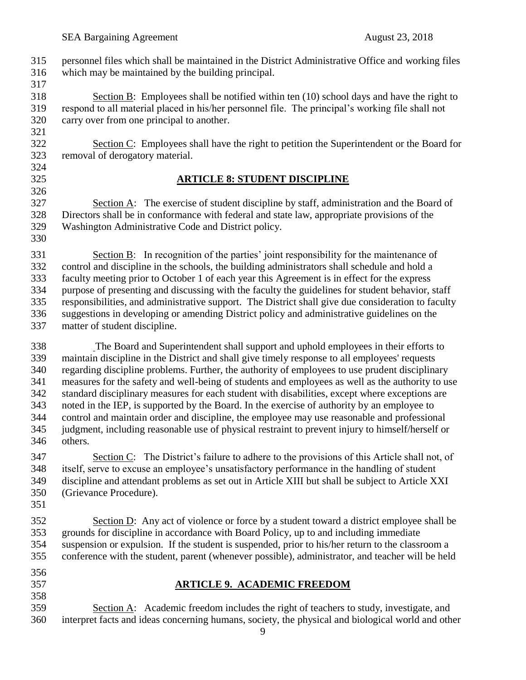personnel files which shall be maintained in the District Administrative Office and working files which may be maintained by the building principal. 

 Section B: Employees shall be notified within ten (10) school days and have the right to respond to all material placed in his/her personnel file. The principal's working file shall not carry over from one principal to another.

 Section C: Employees shall have the right to petition the Superintendent or the Board for removal of derogatory material.

 

## **ARTICLE 8: STUDENT DISCIPLINE**

 Section A: The exercise of student discipline by staff, administration and the Board of Directors shall be in conformance with federal and state law, appropriate provisions of the Washington Administrative Code and District policy.

331 Section B: In recognition of the parties' joint responsibility for the maintenance of control and discipline in the schools, the building administrators shall schedule and hold a faculty meeting prior to October 1 of each year this Agreement is in effect for the express purpose of presenting and discussing with the faculty the guidelines for student behavior, staff responsibilities, and administrative support. The District shall give due consideration to faculty suggestions in developing or amending District policy and administrative guidelines on the matter of student discipline.

 The Board and Superintendent shall support and uphold employees in their efforts to maintain discipline in the District and shall give timely response to all employees' requests regarding discipline problems. Further, the authority of employees to use prudent disciplinary measures for the safety and well-being of students and employees as well as the authority to use standard disciplinary measures for each student with disabilities, except where exceptions are noted in the IEP, is supported by the Board. In the exercise of authority by an employee to control and maintain order and discipline, the employee may use reasonable and professional judgment, including reasonable use of physical restraint to prevent injury to himself/herself or others*.*

 Section C: The District's failure to adhere to the provisions of this Article shall not, of itself, serve to excuse an employee's unsatisfactory performance in the handling of student discipline and attendant problems as set out in Article XIII but shall be subject to Article XXI (Grievance Procedure).

 Section D: Any act of violence or force by a student toward a district employee shall be grounds for discipline in accordance with Board Policy, up to and including immediate suspension or expulsion. If the student is suspended, prior to his/her return to the classroom a conference with the student, parent (whenever possible), administrator, and teacher will be held

**ARTICLE 9. ACADEMIC FREEDOM**

 Section A: Academic freedom includes the right of teachers to study, investigate, and interpret facts and ideas concerning humans, society, the physical and biological world and other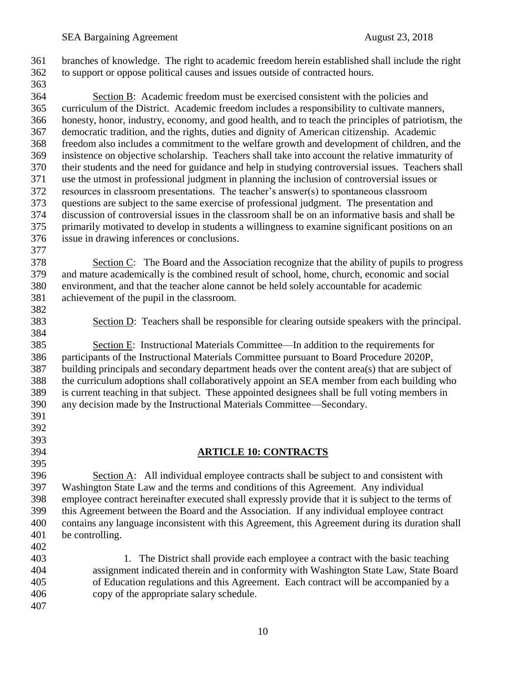branches of knowledge. The right to academic freedom herein established shall include the right to support or oppose political causes and issues outside of contracted hours.

 Section B: Academic freedom must be exercised consistent with the policies and curriculum of the District. Academic freedom includes a responsibility to cultivate manners, honesty, honor, industry, economy, and good health, and to teach the principles of patriotism, the democratic tradition, and the rights, duties and dignity of American citizenship. Academic freedom also includes a commitment to the welfare growth and development of children, and the insistence on objective scholarship. Teachers shall take into account the relative immaturity of their students and the need for guidance and help in studying controversial issues. Teachers shall use the utmost in professional judgment in planning the inclusion of controversial issues or resources in classroom presentations. The teacher's answer(s) to spontaneous classroom questions are subject to the same exercise of professional judgment. The presentation and discussion of controversial issues in the classroom shall be on an informative basis and shall be primarily motivated to develop in students a willingness to examine significant positions on an issue in drawing inferences or conclusions.

 Section C: The Board and the Association recognize that the ability of pupils to progress and mature academically is the combined result of school, home, church, economic and social environment, and that the teacher alone cannot be held solely accountable for academic achievement of the pupil in the classroom.

 

 

Section D: Teachers shall be responsible for clearing outside speakers with the principal.

 Section E: Instructional Materials Committee—In addition to the requirements for participants of the Instructional Materials Committee pursuant to Board Procedure 2020P, building principals and secondary department heads over the content area(s) that are subject of the curriculum adoptions shall collaboratively appoint an SEA member from each building who is current teaching in that subject. These appointed designees shall be full voting members in any decision made by the Instructional Materials Committee—Secondary. 

**ARTICLE 10: CONTRACTS**

 Section A: All individual employee contracts shall be subject to and consistent with Washington State Law and the terms and conditions of this Agreement. Any individual employee contract hereinafter executed shall expressly provide that it is subject to the terms of this Agreement between the Board and the Association. If any individual employee contract contains any language inconsistent with this Agreement, this Agreement during its duration shall be controlling.

 1. The District shall provide each employee a contract with the basic teaching assignment indicated therein and in conformity with Washington State Law, State Board of Education regulations and this Agreement. Each contract will be accompanied by a copy of the appropriate salary schedule.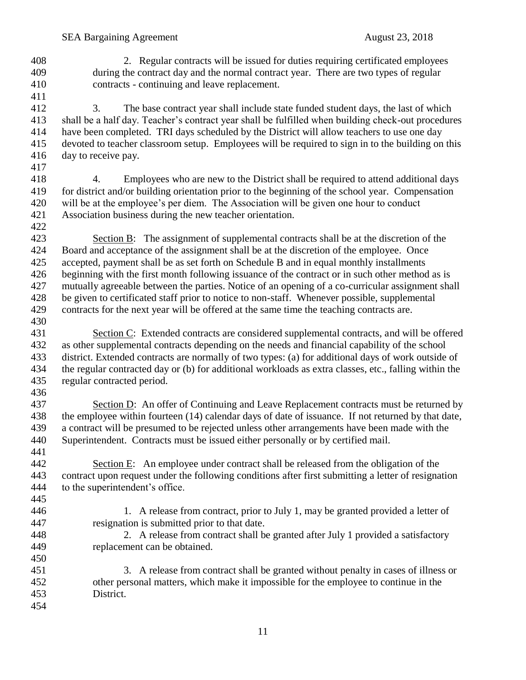2. Regular contracts will be issued for duties requiring certificated employees during the contract day and the normal contract year. There are two types of regular contracts - continuing and leave replacement.

 3. The base contract year shall include state funded student days, the last of which shall be a half day. Teacher's contract year shall be fulfilled when building check-out procedures have been completed. TRI days scheduled by the District will allow teachers to use one day devoted to teacher classroom setup. Employees will be required to sign in to the building on this day to receive pay. 

 4. Employees who are new to the District shall be required to attend additional days for district and/or building orientation prior to the beginning of the school year. Compensation will be at the employee's per diem. The Association will be given one hour to conduct Association business during the new teacher orientation.

 Section B: The assignment of supplemental contracts shall be at the discretion of the Board and acceptance of the assignment shall be at the discretion of the employee. Once accepted, payment shall be as set forth on Schedule B and in equal monthly installments beginning with the first month following issuance of the contract or in such other method as is mutually agreeable between the parties. Notice of an opening of a co-curricular assignment shall be given to certificated staff prior to notice to non-staff. Whenever possible, supplemental contracts for the next year will be offered at the same time the teaching contracts are. 

 Section C: Extended contracts are considered supplemental contracts, and will be offered as other supplemental contracts depending on the needs and financial capability of the school district. Extended contracts are normally of two types: (a) for additional days of work outside of the regular contracted day or (b) for additional workloads as extra classes, etc., falling within the regular contracted period.

 Section D: An offer of Continuing and Leave Replacement contracts must be returned by the employee within fourteen (14) calendar days of date of issuance. If not returned by that date, a contract will be presumed to be rejected unless other arrangements have been made with the Superintendent. Contracts must be issued either personally or by certified mail.

 Section E: An employee under contract shall be released from the obligation of the contract upon request under the following conditions after first submitting a letter of resignation to the superintendent's office.

- 
- 
- 

 1. A release from contract, prior to July 1, may be granted provided a letter of resignation is submitted prior to that date.

 2. A release from contract shall be granted after July 1 provided a satisfactory replacement can be obtained. 

 3. A release from contract shall be granted without penalty in cases of illness or other personal matters, which make it impossible for the employee to continue in the District.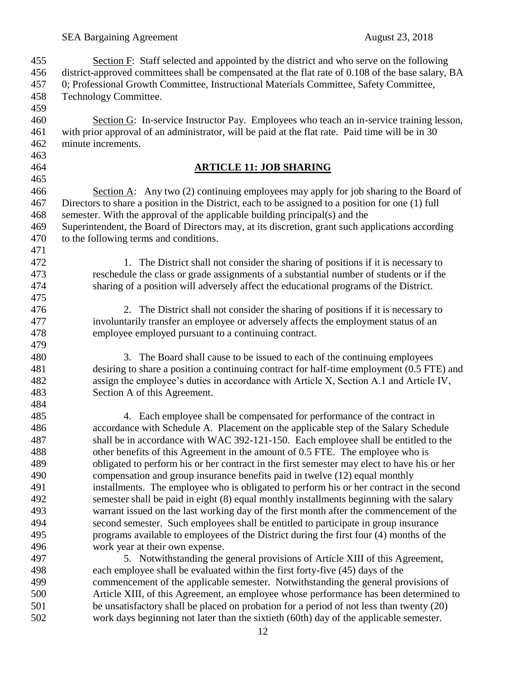Section F: Staff selected and appointed by the district and who serve on the following district-approved committees shall be compensated at the flat rate of 0.108 of the base salary, BA 0; Professional Growth Committee, Instructional Materials Committee, Safety Committee, Technology Committee.

 Section G: In-service Instructor Pay. Employees who teach an in-service training lesson, with prior approval of an administrator, will be paid at the flat rate. Paid time will be in 30 minute increments.

## **ARTICLE 11: JOB SHARING**

 Section A: Any two (2) continuing employees may apply for job sharing to the Board of Directors to share a position in the District, each to be assigned to a position for one (1) full semester. With the approval of the applicable building principal(s) and the Superintendent, the Board of Directors may, at its discretion, grant such applications according 470 to the following terms and conditions. 

 1. The District shall not consider the sharing of positions if it is necessary to reschedule the class or grade assignments of a substantial number of students or if the sharing of a position will adversely affect the educational programs of the District.

 2. The District shall not consider the sharing of positions if it is necessary to involuntarily transfer an employee or adversely affects the employment status of an employee employed pursuant to a continuing contract.

- 3. The Board shall cause to be issued to each of the continuing employees desiring to share a position a continuing contract for half-time employment (0.5 FTE) and assign the employee's duties in accordance with Article X, Section A.1 and Article IV, Section A of this Agreement.
- 4. Each employee shall be compensated for performance of the contract in accordance with Schedule A. Placement on the applicable step of the Salary Schedule shall be in accordance with WAC 392-121-150. Each employee shall be entitled to the other benefits of this Agreement in the amount of 0.5 FTE. The employee who is obligated to perform his or her contract in the first semester may elect to have his or her compensation and group insurance benefits paid in twelve (12) equal monthly installments. The employee who is obligated to perform his or her contract in the second semester shall be paid in eight (8) equal monthly installments beginning with the salary warrant issued on the last working day of the first month after the commencement of the second semester. Such employees shall be entitled to participate in group insurance programs available to employees of the District during the first four (4) months of the work year at their own expense.

 5. Notwithstanding the general provisions of Article XIII of this Agreement, each employee shall be evaluated within the first forty-five (45) days of the commencement of the applicable semester. Notwithstanding the general provisions of Article XIII, of this Agreement, an employee whose performance has been determined to be unsatisfactory shall be placed on probation for a period of not less than twenty (20) work days beginning not later than the sixtieth (60th) day of the applicable semester.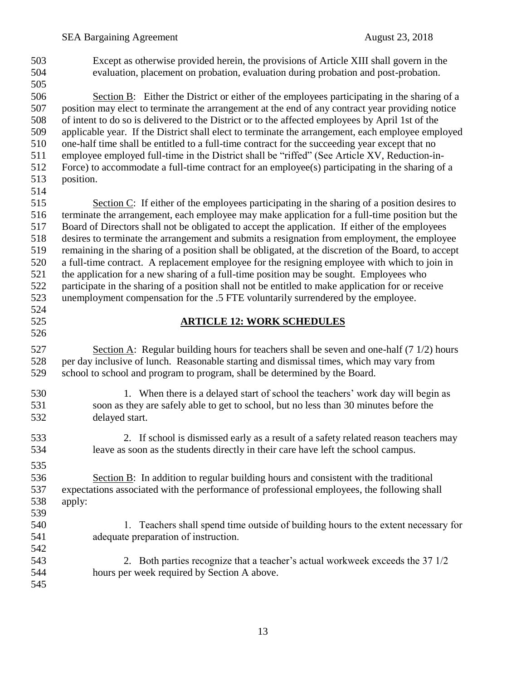SEA Bargaining Agreement August 23, 2018 Except as otherwise provided herein, the provisions of Article XIII shall govern in the evaluation, placement on probation, evaluation during probation and post-probation. Section B: Either the District or either of the employees participating in the sharing of a position may elect to terminate the arrangement at the end of any contract year providing notice of intent to do so is delivered to the District or to the affected employees by April 1st of the applicable year. If the District shall elect to terminate the arrangement, each employee employed one-half time shall be entitled to a full-time contract for the succeeding year except that no employee employed full-time in the District shall be "riffed" (See Article XV, Reduction-in- Force) to accommodate a full-time contract for an employee(s) participating in the sharing of a position. Section C: If either of the employees participating in the sharing of a position desires to terminate the arrangement, each employee may make application for a full-time position but the Board of Directors shall not be obligated to accept the application. If either of the employees desires to terminate the arrangement and submits a resignation from employment, the employee remaining in the sharing of a position shall be obligated, at the discretion of the Board, to accept a full-time contract. A replacement employee for the resigning employee with which to join in the application for a new sharing of a full-time position may be sought. Employees who participate in the sharing of a position shall not be entitled to make application for or receive unemployment compensation for the .5 FTE voluntarily surrendered by the employee. **ARTICLE 12: WORK SCHEDULES** Section A: Regular building hours for teachers shall be seven and one-half (7 1/2) hours per day inclusive of lunch. Reasonable starting and dismissal times, which may vary from school to school and program to program, shall be determined by the Board. 1. When there is a delayed start of school the teachers' work day will begin as soon as they are safely able to get to school, but no less than 30 minutes before the delayed start. 2. If school is dismissed early as a result of a safety related reason teachers may leave as soon as the students directly in their care have left the school campus. Section B: In addition to regular building hours and consistent with the traditional expectations associated with the performance of professional employees, the following shall apply: 1. Teachers shall spend time outside of building hours to the extent necessary for adequate preparation of instruction. 2. Both parties recognize that a teacher's actual workweek exceeds the 37 1/2 hours per week required by Section A above.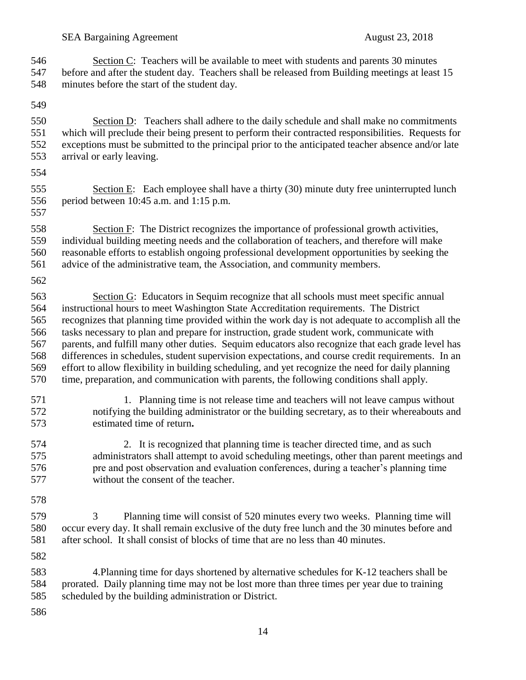Section C: Teachers will be available to meet with students and parents 30 minutes before and after the student day. Teachers shall be released from Building meetings at least 15 minutes before the start of the student day.

## 

 Section D: Teachers shall adhere to the daily schedule and shall make no commitments which will preclude their being present to perform their contracted responsibilities. Requests for exceptions must be submitted to the principal prior to the anticipated teacher absence and/or late arrival or early leaving.

 Section E: Each employee shall have a thirty (30) minute duty free uninterrupted lunch period between 10:45 a.m. and 1:15 p.m. 

 Section F: The District recognizes the importance of professional growth activities, individual building meeting needs and the collaboration of teachers, and therefore will make reasonable efforts to establish ongoing professional development opportunities by seeking the advice of the administrative team, the Association, and community members.

 Section G: Educators in Sequim recognize that all schools must meet specific annual instructional hours to meet Washington State Accreditation requirements. The District recognizes that planning time provided within the work day is not adequate to accomplish all the tasks necessary to plan and prepare for instruction, grade student work, communicate with parents, and fulfill many other duties. Sequim educators also recognize that each grade level has differences in schedules, student supervision expectations, and course credit requirements. In an effort to allow flexibility in building scheduling, and yet recognize the need for daily planning time, preparation, and communication with parents, the following conditions shall apply.

 1. Planning time is not release time and teachers will not leave campus without notifying the building administrator or the building secretary, as to their whereabouts and estimated time of return**.** 

 2. It is recognized that planning time is teacher directed time, and as such administrators shall attempt to avoid scheduling meetings, other than parent meetings and pre and post observation and evaluation conferences, during a teacher's planning time without the consent of the teacher.

 3 Planning time will consist of 520 minutes every two weeks. Planning time will occur every day. It shall remain exclusive of the duty free lunch and the 30 minutes before and after school. It shall consist of blocks of time that are no less than 40 minutes.

 4.Planning time for days shortened by alternative schedules for K-12 teachers shall be prorated. Daily planning time may not be lost more than three times per year due to training scheduled by the building administration or District.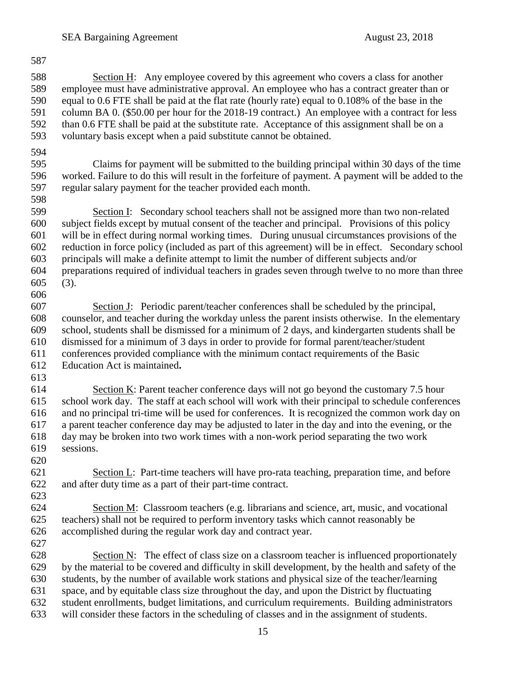Section H: Any employee covered by this agreement who covers a class for another employee must have administrative approval. An employee who has a contract greater than or equal to 0.6 FTE shall be paid at the flat rate (hourly rate) equal to 0.108% of the base in the column BA 0. (\$50.00 per hour for the 2018-19 contract.) An employee with a contract for less than 0.6 FTE shall be paid at the substitute rate. Acceptance of this assignment shall be on a voluntary basis except when a paid substitute cannot be obtained.

 Claims for payment will be submitted to the building principal within 30 days of the time worked. Failure to do this will result in the forfeiture of payment. A payment will be added to the regular salary payment for the teacher provided each month.

 Section I: Secondary school teachers shall not be assigned more than two non-related subject fields except by mutual consent of the teacher and principal. Provisions of this policy will be in effect during normal working times. During unusual circumstances provisions of the reduction in force policy (included as part of this agreement) will be in effect. Secondary school principals will make a definite attempt to limit the number of different subjects and/or preparations required of individual teachers in grades seven through twelve to no more than three (3). 

 Section J: Periodic parent/teacher conferences shall be scheduled by the principal, counselor, and teacher during the workday unless the parent insists otherwise. In the elementary school, students shall be dismissed for a minimum of 2 days, and kindergarten students shall be dismissed for a minimum of 3 days in order to provide for formal parent/teacher/student conferences provided compliance with the minimum contact requirements of the Basic Education Act is maintained**.** 

 Section K: Parent teacher conference days will not go beyond the customary 7.5 hour school work day. The staff at each school will work with their principal to schedule conferences and no principal tri-time will be used for conferences. It is recognized the common work day on a parent teacher conference day may be adjusted to later in the day and into the evening, or the day may be broken into two work times with a non-work period separating the two work sessions.

 Section L: Part-time teachers will have pro-rata teaching, preparation time, and before and after duty time as a part of their part-time contract. 

 Section M: Classroom teachers (e.g. librarians and science, art, music, and vocational teachers) shall not be required to perform inventory tasks which cannot reasonably be accomplished during the regular work day and contract year.

 Section N: The effect of class size on a classroom teacher is influenced proportionately by the material to be covered and difficulty in skill development, by the health and safety of the students, by the number of available work stations and physical size of the teacher/learning space, and by equitable class size throughout the day, and upon the District by fluctuating student enrollments, budget limitations, and curriculum requirements. Building administrators will consider these factors in the scheduling of classes and in the assignment of students.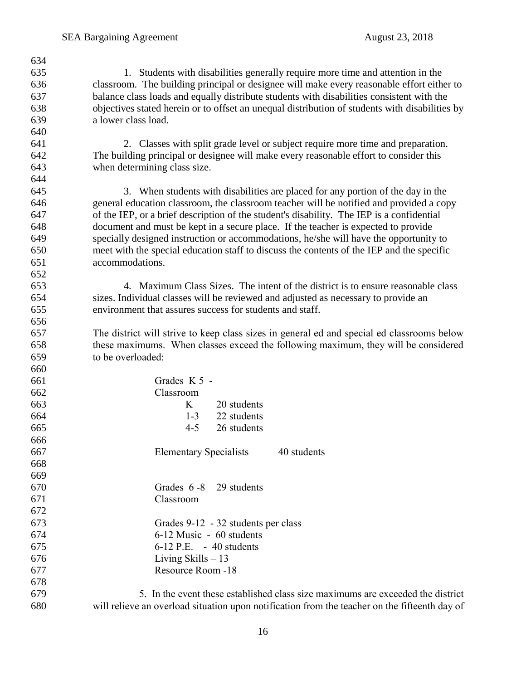| 634 |                                                                                                |  |  |  |
|-----|------------------------------------------------------------------------------------------------|--|--|--|
| 635 | 1. Students with disabilities generally require more time and attention in the                 |  |  |  |
| 636 | classroom. The building principal or designee will make every reasonable effort either to      |  |  |  |
| 637 | balance class loads and equally distribute students with disabilities consistent with the      |  |  |  |
| 638 | objectives stated herein or to offset an unequal distribution of students with disabilities by |  |  |  |
| 639 | a lower class load.                                                                            |  |  |  |
| 640 |                                                                                                |  |  |  |
| 641 | 2. Classes with split grade level or subject require more time and preparation.                |  |  |  |
| 642 | The building principal or designee will make every reasonable effort to consider this          |  |  |  |
| 643 | when determining class size.                                                                   |  |  |  |
| 644 |                                                                                                |  |  |  |
| 645 | 3. When students with disabilities are placed for any portion of the day in the                |  |  |  |
| 646 | general education classroom, the classroom teacher will be notified and provided a copy        |  |  |  |
| 647 | of the IEP, or a brief description of the student's disability. The IEP is a confidential      |  |  |  |
| 648 | document and must be kept in a secure place. If the teacher is expected to provide             |  |  |  |
| 649 | specially designed instruction or accommodations, he/she will have the opportunity to          |  |  |  |
| 650 | meet with the special education staff to discuss the contents of the IEP and the specific      |  |  |  |
| 651 | accommodations.                                                                                |  |  |  |
| 652 |                                                                                                |  |  |  |
| 653 | 4. Maximum Class Sizes. The intent of the district is to ensure reasonable class               |  |  |  |
| 654 | sizes. Individual classes will be reviewed and adjusted as necessary to provide an             |  |  |  |
| 655 | environment that assures success for students and staff.                                       |  |  |  |
| 656 |                                                                                                |  |  |  |
| 657 | The district will strive to keep class sizes in general ed and special ed classrooms below     |  |  |  |
| 658 | these maximums. When classes exceed the following maximum, they will be considered             |  |  |  |
| 659 | to be overloaded:                                                                              |  |  |  |
| 660 |                                                                                                |  |  |  |
| 661 | Grades K 5 -                                                                                   |  |  |  |
| 662 | Classroom                                                                                      |  |  |  |
| 663 | K<br>20 students                                                                               |  |  |  |
| 664 | 22 students<br>$1 - 3$                                                                         |  |  |  |
| 665 | $4 - 5$<br>26 students                                                                         |  |  |  |
| 666 |                                                                                                |  |  |  |
| 667 | 40 students<br><b>Elementary Specialists</b>                                                   |  |  |  |
| 668 |                                                                                                |  |  |  |
| 669 |                                                                                                |  |  |  |
| 670 | Grades 6-8 29 students                                                                         |  |  |  |
| 671 | Classroom                                                                                      |  |  |  |
| 672 |                                                                                                |  |  |  |
| 673 | Grades 9-12 - 32 students per class                                                            |  |  |  |
| 674 | 6-12 Music - 60 students                                                                       |  |  |  |
| 675 | 6-12 P.E. - 40 students                                                                        |  |  |  |
| 676 | Living Skills $-13$                                                                            |  |  |  |
| 677 | Resource Room -18                                                                              |  |  |  |
| 678 |                                                                                                |  |  |  |
| 679 | 5. In the event these established class size maximums are exceeded the district                |  |  |  |
| 680 | will relieve an overload situation upon notification from the teacher on the fifteenth day of  |  |  |  |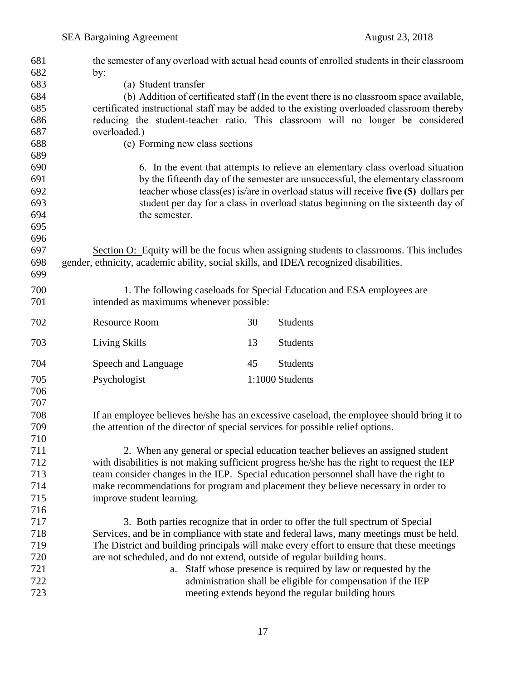| 681 | the semester of any overload with actual head counts of enrolled students in their classroom |                                                                                             |                                                                                            |  |  |
|-----|----------------------------------------------------------------------------------------------|---------------------------------------------------------------------------------------------|--------------------------------------------------------------------------------------------|--|--|
| 682 | by:                                                                                          |                                                                                             |                                                                                            |  |  |
| 683 | (a) Student transfer                                                                         |                                                                                             |                                                                                            |  |  |
| 684 | (b) Addition of certificated staff (In the event there is no classroom space available,      |                                                                                             |                                                                                            |  |  |
| 685 |                                                                                              |                                                                                             | certificated instructional staff may be added to the existing overloaded classroom thereby |  |  |
| 686 |                                                                                              |                                                                                             | reducing the student-teacher ratio. This classroom will no longer be considered            |  |  |
| 687 | overloaded.)                                                                                 |                                                                                             |                                                                                            |  |  |
| 688 | (c) Forming new class sections                                                               |                                                                                             |                                                                                            |  |  |
| 689 |                                                                                              |                                                                                             |                                                                                            |  |  |
| 690 |                                                                                              |                                                                                             | 6. In the event that attempts to relieve an elementary class overload situation            |  |  |
| 691 |                                                                                              |                                                                                             | by the fifteenth day of the semester are unsuccessful, the elementary classroom            |  |  |
| 692 |                                                                                              |                                                                                             | teacher whose class(es) is/are in overload status will receive five (5) dollars per        |  |  |
| 693 |                                                                                              |                                                                                             | student per day for a class in overload status beginning on the sixteenth day of           |  |  |
| 694 | the semester.                                                                                |                                                                                             |                                                                                            |  |  |
| 695 |                                                                                              |                                                                                             |                                                                                            |  |  |
| 696 |                                                                                              |                                                                                             |                                                                                            |  |  |
| 697 |                                                                                              |                                                                                             | Section O: Equity will be the focus when assigning students to classrooms. This includes   |  |  |
| 698 | gender, ethnicity, academic ability, social skills, and IDEA recognized disabilities.        |                                                                                             |                                                                                            |  |  |
| 699 |                                                                                              |                                                                                             |                                                                                            |  |  |
| 700 |                                                                                              |                                                                                             | 1. The following caseloads for Special Education and ESA employees are                     |  |  |
| 701 | intended as maximums whenever possible:                                                      |                                                                                             |                                                                                            |  |  |
| 702 | <b>Resource Room</b>                                                                         | 30                                                                                          | Students                                                                                   |  |  |
|     |                                                                                              |                                                                                             |                                                                                            |  |  |
| 703 | Living Skills                                                                                | 13                                                                                          | Students                                                                                   |  |  |
| 704 | Speech and Language                                                                          | 45                                                                                          | <b>Students</b>                                                                            |  |  |
| 705 | Psychologist                                                                                 |                                                                                             | 1:1000 Students                                                                            |  |  |
| 706 |                                                                                              |                                                                                             |                                                                                            |  |  |
| 707 |                                                                                              |                                                                                             |                                                                                            |  |  |
| 708 |                                                                                              |                                                                                             | If an employee believes he/she has an excessive caseload, the employee should bring it to  |  |  |
| 709 | the attention of the director of special services for possible relief options.               |                                                                                             |                                                                                            |  |  |
| 710 |                                                                                              |                                                                                             |                                                                                            |  |  |
| 711 |                                                                                              |                                                                                             | 2. When any general or special education teacher believes an assigned student              |  |  |
| 712 |                                                                                              | with disabilities is not making sufficient progress he/she has the right to request the IEP |                                                                                            |  |  |
| 713 | team consider changes in the IEP. Special education personnel shall have the right to        |                                                                                             |                                                                                            |  |  |
| 714 |                                                                                              | make recommendations for program and placement they believe necessary in order to           |                                                                                            |  |  |
| 715 | improve student learning.                                                                    |                                                                                             |                                                                                            |  |  |
| 716 |                                                                                              |                                                                                             |                                                                                            |  |  |
| 717 |                                                                                              |                                                                                             | 3. Both parties recognize that in order to offer the full spectrum of Special              |  |  |
| 718 |                                                                                              |                                                                                             | Services, and be in compliance with state and federal laws, many meetings must be held.    |  |  |
| 719 |                                                                                              |                                                                                             | The District and building principals will make every effort to ensure that these meetings  |  |  |
| 720 | are not scheduled, and do not extend, outside of regular building hours.                     |                                                                                             |                                                                                            |  |  |
| 721 |                                                                                              |                                                                                             | a. Staff whose presence is required by law or requested by the                             |  |  |
| 722 |                                                                                              |                                                                                             | administration shall be eligible for compensation if the IEP                               |  |  |
| 723 |                                                                                              |                                                                                             | meeting extends beyond the regular building hours                                          |  |  |
|     |                                                                                              |                                                                                             |                                                                                            |  |  |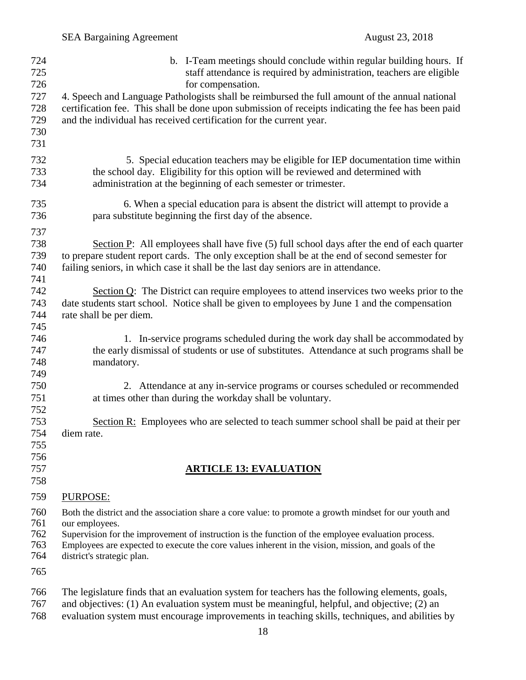|                                                      | <b>SEA Bargaining Agreement</b>              |                                                                                                                                                                                                                                                                                                                                                                                                                                                   | August 23, 2018 |
|------------------------------------------------------|----------------------------------------------|---------------------------------------------------------------------------------------------------------------------------------------------------------------------------------------------------------------------------------------------------------------------------------------------------------------------------------------------------------------------------------------------------------------------------------------------------|-----------------|
| 724<br>725<br>726<br>727<br>728<br>729<br>730<br>731 |                                              | b. I-Team meetings should conclude within regular building hours. If<br>staff attendance is required by administration, teachers are eligible<br>for compensation.<br>4. Speech and Language Pathologists shall be reimbursed the full amount of the annual national<br>certification fee. This shall be done upon submission of receipts indicating the fee has been paid<br>and the individual has received certification for the current year. |                 |
| 732<br>733<br>734                                    |                                              | 5. Special education teachers may be eligible for IEP documentation time within<br>the school day. Eligibility for this option will be reviewed and determined with<br>administration at the beginning of each semester or trimester.                                                                                                                                                                                                             |                 |
| 735<br>736                                           |                                              | 6. When a special education para is absent the district will attempt to provide a<br>para substitute beginning the first day of the absence.                                                                                                                                                                                                                                                                                                      |                 |
| 737<br>738<br>739<br>740<br>741                      |                                              | Section $P$ : All employees shall have five (5) full school days after the end of each quarter<br>to prepare student report cards. The only exception shall be at the end of second semester for<br>failing seniors, in which case it shall be the last day seniors are in attendance.                                                                                                                                                            |                 |
| 742<br>743<br>744<br>745                             | rate shall be per diem.                      | Section Q: The District can require employees to attend inservices two weeks prior to the<br>date students start school. Notice shall be given to employees by June 1 and the compensation                                                                                                                                                                                                                                                        |                 |
| 746<br>747<br>748<br>749                             | mandatory.                                   | 1. In-service programs scheduled during the work day shall be accommodated by<br>the early dismissal of students or use of substitutes. Attendance at such programs shall be                                                                                                                                                                                                                                                                      |                 |
| 750<br>751<br>752                                    |                                              | 2. Attendance at any in-service programs or courses scheduled or recommended<br>at times other than during the workday shall be voluntary.                                                                                                                                                                                                                                                                                                        |                 |
| 753<br>754<br>755                                    | diem rate.                                   | Section R: Employees who are selected to teach summer school shall be paid at their per                                                                                                                                                                                                                                                                                                                                                           |                 |
| 756<br>757<br>758                                    |                                              | <b>ARTICLE 13: EVALUATION</b>                                                                                                                                                                                                                                                                                                                                                                                                                     |                 |
| 759                                                  | PURPOSE:                                     |                                                                                                                                                                                                                                                                                                                                                                                                                                                   |                 |
| 760<br>761<br>762<br>763<br>764                      | our employees.<br>district's strategic plan. | Both the district and the association share a core value: to promote a growth mindset for our youth and<br>Supervision for the improvement of instruction is the function of the employee evaluation process.<br>Employees are expected to execute the core values inherent in the vision, mission, and goals of the                                                                                                                              |                 |
| 765                                                  |                                              |                                                                                                                                                                                                                                                                                                                                                                                                                                                   |                 |
| 766<br>767<br>768                                    |                                              | The legislature finds that an evaluation system for teachers has the following elements, goals,<br>and objectives: (1) An evaluation system must be meaningful, helpful, and objective; (2) an<br>evaluation system must encourage improvements in teaching skills, techniques, and abilities by                                                                                                                                                  |                 |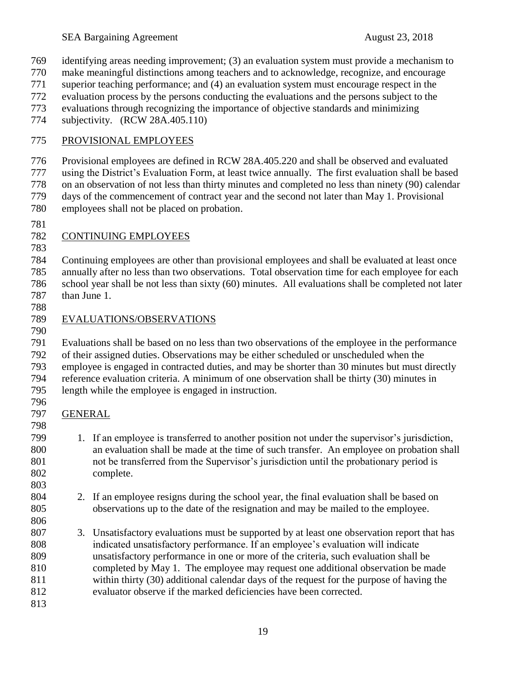- identifying areas needing improvement; (3) an evaluation system must provide a mechanism to
- make meaningful distinctions among teachers and to acknowledge, recognize, and encourage
- superior teaching performance; and (4) an evaluation system must encourage respect in the
- evaluation process by the persons conducting the evaluations and the persons subject to the
- evaluations through recognizing the importance of objective standards and minimizing
- subjectivity. (RCW 28A.405.110)

## PROVISIONAL EMPLOYEES

 Provisional employees are defined in RCW 28A.405.220 and shall be observed and evaluated using the District's Evaluation Form, at least twice annually. The first evaluation shall be based on an observation of not less than thirty minutes and completed no less than ninety (90) calendar days of the commencement of contract year and the second not later than May 1. Provisional employees shall not be placed on probation.

## CONTINUING EMPLOYEES

 Continuing employees are other than provisional employees and shall be evaluated at least once annually after no less than two observations. Total observation time for each employee for each school year shall be not less than sixty (60) minutes. All evaluations shall be completed not later than June 1.

## EVALUATIONS/OBSERVATIONS

 Evaluations shall be based on no less than two observations of the employee in the performance of their assigned duties. Observations may be either scheduled or unscheduled when the employee is engaged in contracted duties, and may be shorter than 30 minutes but must directly reference evaluation criteria. A minimum of one observation shall be thirty (30) minutes in length while the employee is engaged in instruction.

- GENERAL
- 

- 1. If an employee is transferred to another position not under the supervisor's jurisdiction, an evaluation shall be made at the time of such transfer. An employee on probation shall not be transferred from the Supervisor's jurisdiction until the probationary period is complete.
- 2. If an employee resigns during the school year, the final evaluation shall be based on observations up to the date of the resignation and may be mailed to the employee.
- 3. Unsatisfactory evaluations must be supported by at least one observation report that has indicated unsatisfactory performance. If an employee's evaluation will indicate unsatisfactory performance in one or more of the criteria, such evaluation shall be completed by May 1. The employee may request one additional observation be made within thirty (30) additional calendar days of the request for the purpose of having the evaluator observe if the marked deficiencies have been corrected.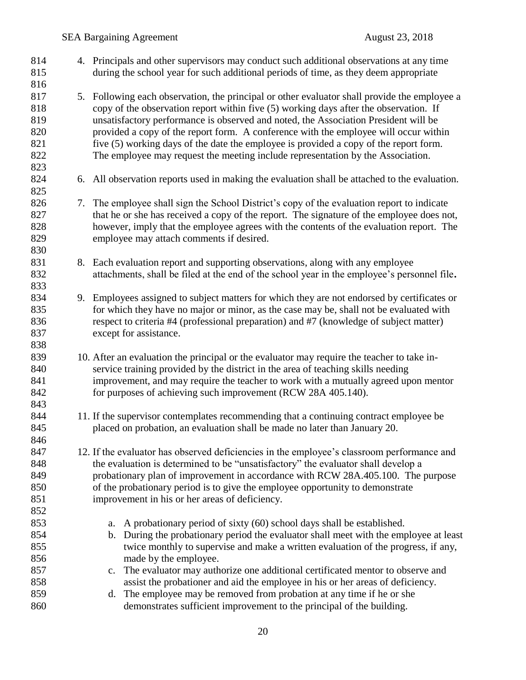| 814<br>815 |    | 4. Principals and other supervisors may conduct such additional observations at any time<br>during the school year for such additional periods of time, as they deem appropriate |  |  |  |
|------------|----|----------------------------------------------------------------------------------------------------------------------------------------------------------------------------------|--|--|--|
| 816        |    |                                                                                                                                                                                  |  |  |  |
| 817        |    | 5. Following each observation, the principal or other evaluator shall provide the employee a                                                                                     |  |  |  |
| 818        |    | copy of the observation report within five (5) working days after the observation. If                                                                                            |  |  |  |
| 819        |    | unsatisfactory performance is observed and noted, the Association President will be                                                                                              |  |  |  |
| 820        |    | provided a copy of the report form. A conference with the employee will occur within                                                                                             |  |  |  |
| 821        |    | five (5) working days of the date the employee is provided a copy of the report form.                                                                                            |  |  |  |
| 822        |    | The employee may request the meeting include representation by the Association.                                                                                                  |  |  |  |
| 823        |    |                                                                                                                                                                                  |  |  |  |
| 824        |    | 6. All observation reports used in making the evaluation shall be attached to the evaluation.                                                                                    |  |  |  |
| 825        |    |                                                                                                                                                                                  |  |  |  |
| 826        | 7. | The employee shall sign the School District's copy of the evaluation report to indicate                                                                                          |  |  |  |
| 827        |    | that he or she has received a copy of the report. The signature of the employee does not,                                                                                        |  |  |  |
| 828        |    | however, imply that the employee agrees with the contents of the evaluation report. The                                                                                          |  |  |  |
| 829        |    | employee may attach comments if desired.                                                                                                                                         |  |  |  |
| 830        |    |                                                                                                                                                                                  |  |  |  |
| 831        |    | 8. Each evaluation report and supporting observations, along with any employee                                                                                                   |  |  |  |
| 832        |    | attachments, shall be filed at the end of the school year in the employee's personnel file.                                                                                      |  |  |  |
| 833        |    |                                                                                                                                                                                  |  |  |  |
| 834        |    | 9. Employees assigned to subject matters for which they are not endorsed by certificates or                                                                                      |  |  |  |
| 835        |    | for which they have no major or minor, as the case may be, shall not be evaluated with                                                                                           |  |  |  |
| 836        |    | respect to criteria #4 (professional preparation) and #7 (knowledge of subject matter)                                                                                           |  |  |  |
| 837        |    | except for assistance.                                                                                                                                                           |  |  |  |
| 838        |    |                                                                                                                                                                                  |  |  |  |
| 839        |    | 10. After an evaluation the principal or the evaluator may require the teacher to take in-                                                                                       |  |  |  |
| 840        |    | service training provided by the district in the area of teaching skills needing                                                                                                 |  |  |  |
| 841        |    | improvement, and may require the teacher to work with a mutually agreed upon mentor                                                                                              |  |  |  |
| 842        |    | for purposes of achieving such improvement (RCW 28A 405.140).                                                                                                                    |  |  |  |
| 843        |    |                                                                                                                                                                                  |  |  |  |
| 844        |    | 11. If the supervisor contemplates recommending that a continuing contract employee be                                                                                           |  |  |  |
| 845        |    | placed on probation, an evaluation shall be made no later than January 20.                                                                                                       |  |  |  |
| 846        |    |                                                                                                                                                                                  |  |  |  |
| 847        |    | 12. If the evaluator has observed deficiencies in the employee's classroom performance and                                                                                       |  |  |  |
| 848        |    | the evaluation is determined to be "unsatisfactory" the evaluator shall develop a                                                                                                |  |  |  |
| 849        |    | probationary plan of improvement in accordance with RCW 28A.405.100. The purpose                                                                                                 |  |  |  |
| 850        |    | of the probationary period is to give the employee opportunity to demonstrate                                                                                                    |  |  |  |
| 851        |    | improvement in his or her areas of deficiency.                                                                                                                                   |  |  |  |
| 852        |    |                                                                                                                                                                                  |  |  |  |
| 853        |    | A probationary period of sixty (60) school days shall be established.<br>a.                                                                                                      |  |  |  |
| 854        |    | b. During the probationary period the evaluator shall meet with the employee at least                                                                                            |  |  |  |
| 855        |    | twice monthly to supervise and make a written evaluation of the progress, if any,                                                                                                |  |  |  |
| 856        |    | made by the employee.                                                                                                                                                            |  |  |  |
| 857        |    | The evaluator may authorize one additional certificated mentor to observe and<br>$\mathbf{c}$ .                                                                                  |  |  |  |
| 858        |    | assist the probationer and aid the employee in his or her areas of deficiency.                                                                                                   |  |  |  |
| 859        |    | The employee may be removed from probation at any time if he or she<br>d.                                                                                                        |  |  |  |
| 860        |    | demonstrates sufficient improvement to the principal of the building.                                                                                                            |  |  |  |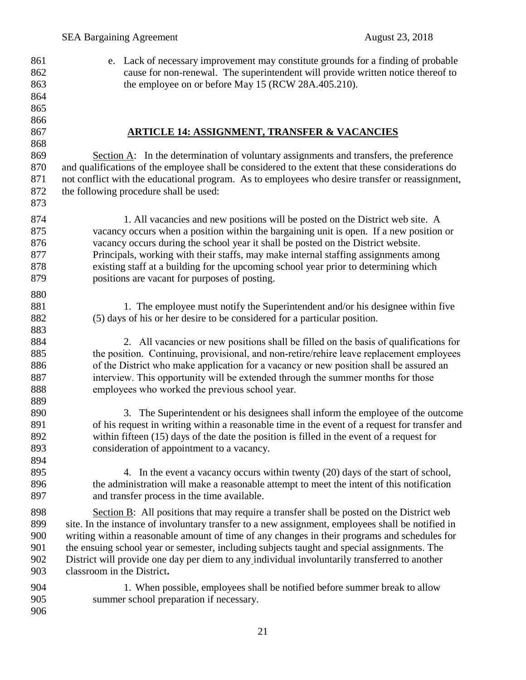e. Lack of necessary improvement may constitute grounds for a finding of probable cause for non-renewal. The superintendent will provide written notice thereof to 863 the employee on or before May 15 (RCW 28A.405.210).

## **ARTICLE 14: ASSIGNMENT, TRANSFER & VACANCIES**

 Section A: In the determination of voluntary assignments and transfers, the preference and qualifications of the employee shall be considered to the extent that these considerations do not conflict with the educational program. As to employees who desire transfer or reassignment, the following procedure shall be used: 

- 1. All vacancies and new positions will be posted on the District web site. A vacancy occurs when a position within the bargaining unit is open. If a new position or vacancy occurs during the school year it shall be posted on the District website. Principals, working with their staffs, may make internal staffing assignments among existing staff at a building for the upcoming school year prior to determining which positions are vacant for purposes of posting.
- 881 1. The employee must notify the Superintendent and/or his designee within five (5) days of his or her desire to be considered for a particular position.
- 2. All vacancies or new positions shall be filled on the basis of qualifications for 885 the position. Continuing, provisional, and non-retire/rehire leave replacement employees 886 of the District who make application for a vacancy or new position shall be assured an interview. This opportunity will be extended through the summer months for those employees who worked the previous school year.
- 3. The Superintendent or his designees shall inform the employee of the outcome of his request in writing within a reasonable time in the event of a request for transfer and within fifteen (15) days of the date the position is filled in the event of a request for consideration of appointment to a vacancy.
- 4. In the event a vacancy occurs within twenty (20) days of the start of school, 896 the administration will make a reasonable attempt to meet the intent of this notification and transfer process in the time available.
- Section B: All positions that may require a transfer shall be posted on the District web site. In the instance of involuntary transfer to a new assignment, employees shall be notified in writing within a reasonable amount of time of any changes in their programs and schedules for the ensuing school year or semester, including subjects taught and special assignments. The District will provide one day per diem to any individual involuntarily transferred to another classroom in the District**.**
- 1. When possible, employees shall be notified before summer break to allow summer school preparation if necessary.
	-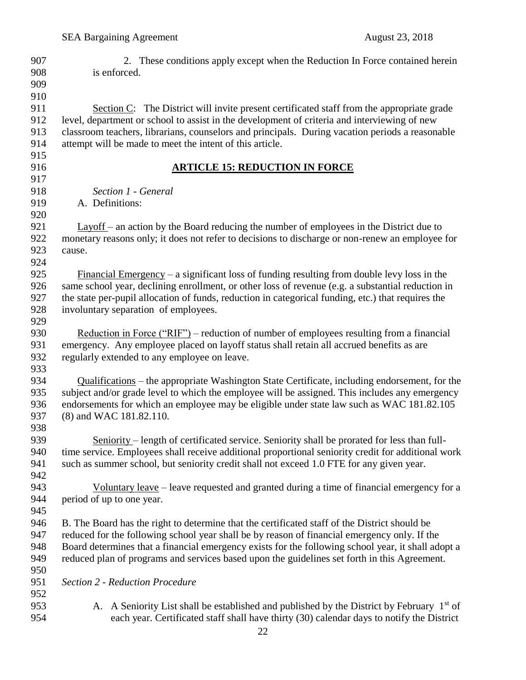2. These conditions apply except when the Reduction In Force contained herein is enforced. Section C: The District will invite present certificated staff from the appropriate grade level, department or school to assist in the development of criteria and interviewing of new classroom teachers, librarians, counselors and principals. During vacation periods a reasonable attempt will be made to meet the intent of this article. **ARTICLE 15: REDUCTION IN FORCE** *Section 1 - General* A. Definitions: Layoff – an action by the Board reducing the number of employees in the District due to monetary reasons only; it does not refer to decisions to discharge or non-renew an employee for cause. Financial Emergency – a significant loss of funding resulting from double levy loss in the same school year, declining enrollment, or other loss of revenue (e.g. a substantial reduction in the state per-pupil allocation of funds, reduction in categorical funding, etc.) that requires the involuntary separation of employees. Reduction in Force ("RIF") – reduction of number of employees resulting from a financial emergency. Any employee placed on layoff status shall retain all accrued benefits as are regularly extended to any employee on leave. Qualifications – the appropriate Washington State Certificate, including endorsement, for the subject and/or grade level to which the employee will be assigned. This includes any emergency endorsements for which an employee may be eligible under state law such as WAC 181.82.105 (8) and WAC 181.82.110. Seniority – length of certificated service. Seniority shall be prorated for less than full- time service. Employees shall receive additional proportional seniority credit for additional work such as summer school, but seniority credit shall not exceed 1.0 FTE for any given year. Voluntary leave – leave requested and granted during a time of financial emergency for a period of up to one year. B. The Board has the right to determine that the certificated staff of the District should be reduced for the following school year shall be by reason of financial emergency only. If the Board determines that a financial emergency exists for the following school year, it shall adopt a reduced plan of programs and services based upon the guidelines set forth in this Agreement. *Section 2 - Reduction Procedure* 953 A. A Seniority List shall be established and published by the District by February  $1<sup>st</sup>$  of each year. Certificated staff shall have thirty (30) calendar days to notify the District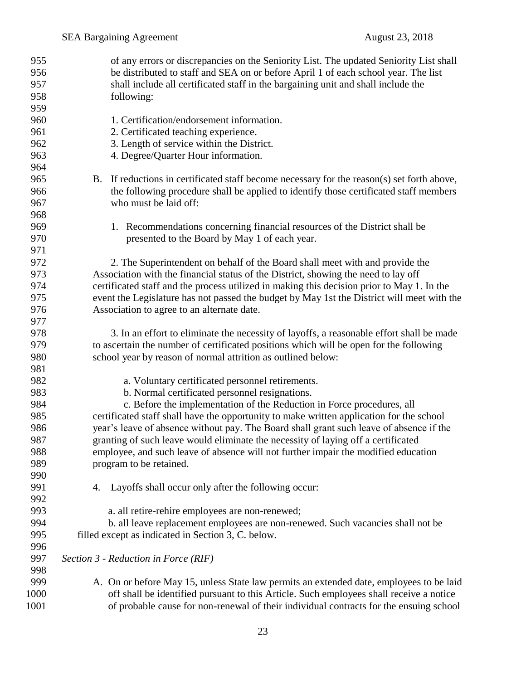of any errors or discrepancies on the Seniority List. The updated Seniority List shall be distributed to staff and SEA on or before April 1 of each school year. The list shall include all certificated staff in the bargaining unit and shall include the following: 1. Certification/endorsement information. 2. Certificated teaching experience. 3. Length of service within the District. 4. Degree/Quarter Hour information. B. If reductions in certificated staff become necessary for the reason(s) set forth above, the following procedure shall be applied to identify those certificated staff members who must be laid off: 1. Recommendations concerning financial resources of the District shall be presented to the Board by May 1 of each year. 2. The Superintendent on behalf of the Board shall meet with and provide the Association with the financial status of the District, showing the need to lay off certificated staff and the process utilized in making this decision prior to May 1. In the event the Legislature has not passed the budget by May 1st the District will meet with the Association to agree to an alternate date. 3. In an effort to eliminate the necessity of layoffs, a reasonable effort shall be made to ascertain the number of certificated positions which will be open for the following school year by reason of normal attrition as outlined below: a. Voluntary certificated personnel retirements. b. Normal certificated personnel resignations. c. Before the implementation of the Reduction in Force procedures, all certificated staff shall have the opportunity to make written application for the school year's leave of absence without pay. The Board shall grant such leave of absence if the granting of such leave would eliminate the necessity of laying off a certificated employee, and such leave of absence will not further impair the modified education program to be retained. 4. Layoffs shall occur only after the following occur: a. all retire-rehire employees are non-renewed; b. all leave replacement employees are non-renewed. Such vacancies shall not be filled except as indicated in Section 3, C. below. *Section 3 - Reduction in Force (RIF)* 998<br>999 A. On or before May 15, unless State law permits an extended date, employees to be laid off shall be identified pursuant to this Article. Such employees shall receive a notice of probable cause for non-renewal of their individual contracts for the ensuing school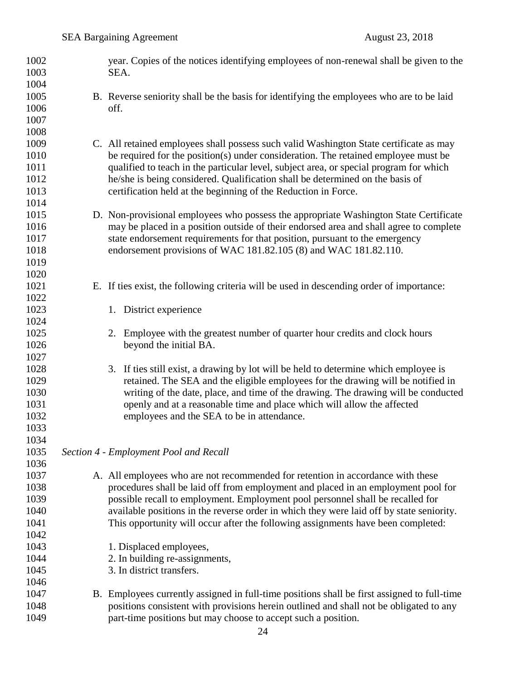| 1002<br>1003 | year. Copies of the notices identifying employees of non-renewal shall be given to the<br>SEA. |  |
|--------------|------------------------------------------------------------------------------------------------|--|
| 1004         |                                                                                                |  |
| 1005         | B. Reverse seniority shall be the basis for identifying the employees who are to be laid       |  |
| 1006         | off.                                                                                           |  |
| 1007         |                                                                                                |  |
| 1008         |                                                                                                |  |
| 1009         | C. All retained employees shall possess such valid Washington State certificate as may         |  |
| 1010         | be required for the position(s) under consideration. The retained employee must be             |  |
| 1011         | qualified to teach in the particular level, subject area, or special program for which         |  |
| 1012         | he/she is being considered. Qualification shall be determined on the basis of                  |  |
| 1013         | certification held at the beginning of the Reduction in Force.                                 |  |
| 1014         |                                                                                                |  |
| 1015         | D. Non-provisional employees who possess the appropriate Washington State Certificate          |  |
| 1016         | may be placed in a position outside of their endorsed area and shall agree to complete         |  |
| 1017         | state endorsement requirements for that position, pursuant to the emergency                    |  |
| 1018         | endorsement provisions of WAC 181.82.105 (8) and WAC 181.82.110.                               |  |
| 1019         |                                                                                                |  |
|              |                                                                                                |  |
| 1020         |                                                                                                |  |
| 1021         | E. If ties exist, the following criteria will be used in descending order of importance:       |  |
| 1022         |                                                                                                |  |
| 1023         | 1. District experience                                                                         |  |
| 1024         |                                                                                                |  |
| 1025         | Employee with the greatest number of quarter hour credits and clock hours<br>2.                |  |
| 1026         | beyond the initial BA.                                                                         |  |
| 1027         |                                                                                                |  |
| 1028         | 3. If ties still exist, a drawing by lot will be held to determine which employee is           |  |
| 1029         | retained. The SEA and the eligible employees for the drawing will be notified in               |  |
| 1030         | writing of the date, place, and time of the drawing. The drawing will be conducted             |  |
| 1031         | openly and at a reasonable time and place which will allow the affected                        |  |
| 1032         | employees and the SEA to be in attendance.                                                     |  |
| 1033         |                                                                                                |  |
| 1034         |                                                                                                |  |
| 1035         | Section 4 - Employment Pool and Recall                                                         |  |
| 1036         |                                                                                                |  |
| 1037         | A. All employees who are not recommended for retention in accordance with these                |  |
| 1038         | procedures shall be laid off from employment and placed in an employment pool for              |  |
| 1039         | possible recall to employment. Employment pool personnel shall be recalled for                 |  |
| 1040         | available positions in the reverse order in which they were laid off by state seniority.       |  |
| 1041         | This opportunity will occur after the following assignments have been completed:               |  |
| 1042         |                                                                                                |  |
| 1043         | 1. Displaced employees,                                                                        |  |
| 1044         | 2. In building re-assignments,                                                                 |  |
| 1045         | 3. In district transfers.                                                                      |  |
| 1046         |                                                                                                |  |
| 1047         | B. Employees currently assigned in full-time positions shall be first assigned to full-time    |  |
| 1048         | positions consistent with provisions herein outlined and shall not be obligated to any         |  |
| 1049         | part-time positions but may choose to accept such a position.                                  |  |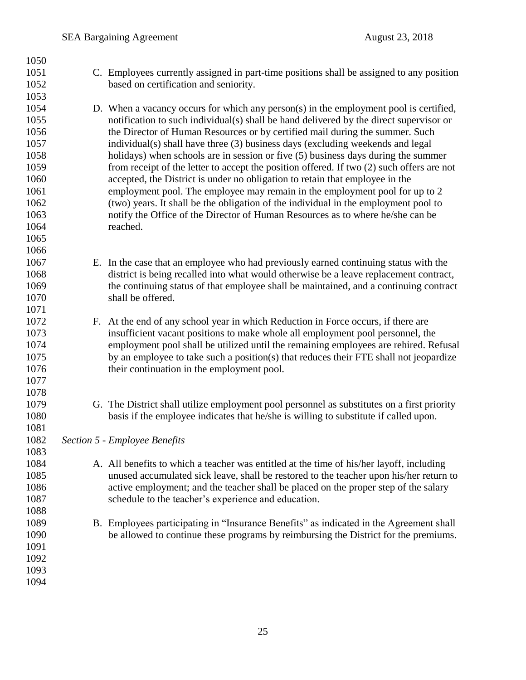C. Employees currently assigned in part-time positions shall be assigned to any position based on certification and seniority. D. When a vacancy occurs for which any person(s) in the employment pool is certified, notification to such individual(s) shall be hand delivered by the direct supervisor or the Director of Human Resources or by certified mail during the summer. Such individual(s) shall have three (3) business days (excluding weekends and legal holidays) when schools are in session or five (5) business days during the summer from receipt of the letter to accept the position offered. If two (2) such offers are not accepted, the District is under no obligation to retain that employee in the 1061 employment pool. The employee may remain in the employment pool for up to 2 (two) years. It shall be the obligation of the individual in the employment pool to notify the Office of the Director of Human Resources as to where he/she can be reached. E. In the case that an employee who had previously earned continuing status with the district is being recalled into what would otherwise be a leave replacement contract, the continuing status of that employee shall be maintained, and a continuing contract 1070 shall be offered. F. At the end of any school year in which Reduction in Force occurs, if there are insufficient vacant positions to make whole all employment pool personnel, the employment pool shall be utilized until the remaining employees are rehired. Refusal 1075 by an employee to take such a position(s) that reduces their FTE shall not jeopardize their continuation in the employment pool. G. The District shall utilize employment pool personnel as substitutes on a first priority basis if the employee indicates that he/she is willing to substitute if called upon. *Section 5 - Employee Benefits* A. All benefits to which a teacher was entitled at the time of his/her layoff, including unused accumulated sick leave, shall be restored to the teacher upon his/her return to active employment; and the teacher shall be placed on the proper step of the salary schedule to the teacher's experience and education. B. Employees participating in "Insurance Benefits" as indicated in the Agreement shall be allowed to continue these programs by reimbursing the District for the premiums.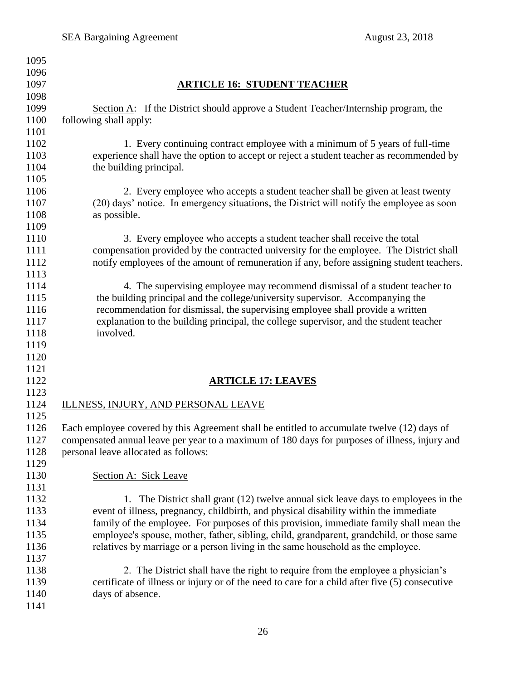| 1095         |                                                                                                   |
|--------------|---------------------------------------------------------------------------------------------------|
| 1096         |                                                                                                   |
| 1097         | <b>ARTICLE 16: STUDENT TEACHER</b>                                                                |
| 1098         |                                                                                                   |
| 1099         | Section $\overline{A}$ : If the District should approve a Student Teacher/Internship program, the |
| 1100         | following shall apply:                                                                            |
| 1101         |                                                                                                   |
| 1102         | 1. Every continuing contract employee with a minimum of 5 years of full-time                      |
| 1103         | experience shall have the option to accept or reject a student teacher as recommended by          |
| 1104         | the building principal.                                                                           |
| 1105         |                                                                                                   |
| 1106         | 2. Every employee who accepts a student teacher shall be given at least twenty                    |
| 1107         | (20) days' notice. In emergency situations, the District will notify the employee as soon         |
| 1108         | as possible.                                                                                      |
| 1109         |                                                                                                   |
| 1110         | 3. Every employee who accepts a student teacher shall receive the total                           |
| 1111         | compensation provided by the contracted university for the employee. The District shall           |
| 1112         | notify employees of the amount of remuneration if any, before assigning student teachers.         |
| 1113         |                                                                                                   |
| 1114         | 4. The supervising employee may recommend dismissal of a student teacher to                       |
| 1115         | the building principal and the college/university supervisor. Accompanying the                    |
| 1116         | recommendation for dismissal, the supervising employee shall provide a written                    |
| 1117         | explanation to the building principal, the college supervisor, and the student teacher            |
| 1118         | involved.                                                                                         |
| 1119         |                                                                                                   |
| 1120         |                                                                                                   |
| 1121         |                                                                                                   |
| 1122<br>1123 | <b>ARTICLE 17: LEAVES</b>                                                                         |
| 1124         | ILLNESS, INJURY, AND PERSONAL LEAVE                                                               |
| 1125         |                                                                                                   |
| 1126         | Each employee covered by this Agreement shall be entitled to accumulate twelve (12) days of       |
| 1127         | compensated annual leave per year to a maximum of 180 days for purposes of illness, injury and    |
| 1128         | personal leave allocated as follows:                                                              |
| 1129         |                                                                                                   |
| 1130         | Section A: Sick Leave                                                                             |
| 1131         |                                                                                                   |
| 1132         | 1. The District shall grant (12) twelve annual sick leave days to employees in the                |
| 1133         | event of illness, pregnancy, childbirth, and physical disability within the immediate             |
| 1134         | family of the employee. For purposes of this provision, immediate family shall mean the           |
| 1135         | employee's spouse, mother, father, sibling, child, grandparent, grandchild, or those same         |
| 1136         | relatives by marriage or a person living in the same household as the employee.                   |
| 1137         |                                                                                                   |
| 1138         | 2. The District shall have the right to require from the employee a physician's                   |
| 1139         | certificate of illness or injury or of the need to care for a child after five (5) consecutive    |
| 1140         | days of absence.                                                                                  |
| 1141         |                                                                                                   |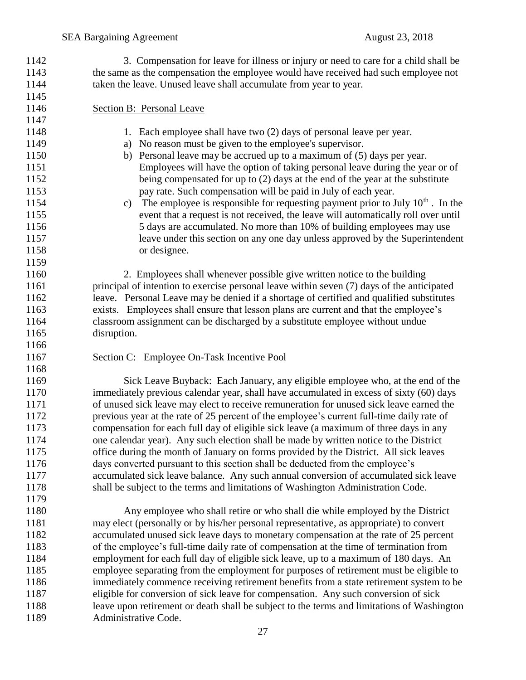- 3. Compensation for leave for illness or injury or need to care for a child shall be the same as the compensation the employee would have received had such employee not 1144 taken the leave. Unused leave shall accumulate from year to year. Section B: Personal Leave 1148 1. Each employee shall have two (2) days of personal leave per year. a) No reason must be given to the employee's supervisor. b) Personal leave may be accrued up to a maximum of (5) days per year. Employees will have the option of taking personal leave during the year or of 1152 being compensated for up to (2) days at the end of the year at the substitute pay rate. Such compensation will be paid in July of each year. 1154 c) The employee is responsible for requesting payment prior to July  $10<sup>th</sup>$ . In the event that a request is not received, the leave will automatically roll over until 1156 5 days are accumulated. No more than 10% of building employees may use leave under this section on any one day unless approved by the Superintendent or designee. 2. Employees shall whenever possible give written notice to the building principal of intention to exercise personal leave within seven (7) days of the anticipated leave. Personal Leave may be denied if a shortage of certified and qualified substitutes exists. Employees shall ensure that lesson plans are current and that the employee's classroom assignment can be discharged by a substitute employee without undue disruption. Section C: Employee On-Task Incentive Pool Sick Leave Buyback: Each January, any eligible employee who, at the end of the immediately previous calendar year, shall have accumulated in excess of sixty (60) days of unused sick leave may elect to receive remuneration for unused sick leave earned the previous year at the rate of 25 percent of the employee's current full-time daily rate of compensation for each full day of eligible sick leave (a maximum of three days in any one calendar year). Any such election shall be made by written notice to the District office during the month of January on forms provided by the District. All sick leaves days converted pursuant to this section shall be deducted from the employee's accumulated sick leave balance. Any such annual conversion of accumulated sick leave shall be subject to the terms and limitations of Washington Administration Code. Any employee who shall retire or who shall die while employed by the District may elect (personally or by his/her personal representative, as appropriate) to convert accumulated unused sick leave days to monetary compensation at the rate of 25 percent of the employee's full-time daily rate of compensation at the time of termination from employment for each full day of eligible sick leave, up to a maximum of 180 days. An employee separating from the employment for purposes of retirement must be eligible to immediately commence receiving retirement benefits from a state retirement system to be eligible for conversion of sick leave for compensation. Any such conversion of sick leave upon retirement or death shall be subject to the terms and limitations of Washington
- Administrative Code.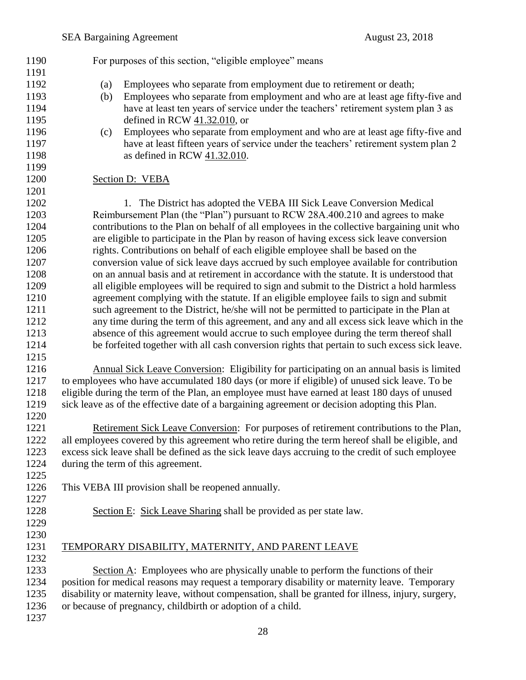| 1190         |                                                                                                | For purposes of this section, "eligible employee" means                                             |  |
|--------------|------------------------------------------------------------------------------------------------|-----------------------------------------------------------------------------------------------------|--|
| 1191         |                                                                                                |                                                                                                     |  |
| 1192         | (a)                                                                                            | Employees who separate from employment due to retirement or death;                                  |  |
| 1193         | (b)                                                                                            | Employees who separate from employment and who are at least age fifty-five and                      |  |
| 1194         |                                                                                                | have at least ten years of service under the teachers' retirement system plan 3 as                  |  |
| 1195         |                                                                                                | defined in RCW 41.32.010, or                                                                        |  |
| 1196         | (c)                                                                                            | Employees who separate from employment and who are at least age fifty-five and                      |  |
| 1197         |                                                                                                | have at least fifteen years of service under the teachers' retirement system plan 2                 |  |
| 1198         |                                                                                                | as defined in RCW 41.32.010.                                                                        |  |
| 1199         |                                                                                                |                                                                                                     |  |
| 1200         |                                                                                                | Section D: VEBA                                                                                     |  |
| 1201         |                                                                                                |                                                                                                     |  |
| 1202         |                                                                                                | 1. The District has adopted the VEBA III Sick Leave Conversion Medical                              |  |
| 1203         |                                                                                                | Reimbursement Plan (the "Plan") pursuant to RCW 28A.400.210 and agrees to make                      |  |
| 1204         |                                                                                                | contributions to the Plan on behalf of all employees in the collective bargaining unit who          |  |
| 1205         |                                                                                                | are eligible to participate in the Plan by reason of having excess sick leave conversion            |  |
| 1206         |                                                                                                | rights. Contributions on behalf of each eligible employee shall be based on the                     |  |
| 1207         |                                                                                                | conversion value of sick leave days accrued by such employee available for contribution             |  |
| 1208         |                                                                                                | on an annual basis and at retirement in accordance with the statute. It is understood that          |  |
| 1209         |                                                                                                | all eligible employees will be required to sign and submit to the District a hold harmless          |  |
| 1210         |                                                                                                | agreement complying with the statute. If an eligible employee fails to sign and submit              |  |
| 1211         |                                                                                                | such agreement to the District, he/she will not be permitted to participate in the Plan at          |  |
| 1212         | any time during the term of this agreement, and any and all excess sick leave which in the     |                                                                                                     |  |
| 1213         | absence of this agreement would accrue to such employee during the term thereof shall          |                                                                                                     |  |
| 1214         |                                                                                                | be forfeited together with all cash conversion rights that pertain to such excess sick leave.       |  |
| 1215         |                                                                                                |                                                                                                     |  |
| 1216         |                                                                                                | Annual Sick Leave Conversion: Eligibility for participating on an annual basis is limited           |  |
| 1217         | to employees who have accumulated 180 days (or more if eligible) of unused sick leave. To be   |                                                                                                     |  |
| 1218         | eligible during the term of the Plan, an employee must have earned at least 180 days of unused |                                                                                                     |  |
| 1219         |                                                                                                | sick leave as of the effective date of a bargaining agreement or decision adopting this Plan.       |  |
| 1220         |                                                                                                |                                                                                                     |  |
| 1221         |                                                                                                | Retirement Sick Leave Conversion: For purposes of retirement contributions to the Plan,             |  |
| 1222         |                                                                                                | all employees covered by this agreement who retire during the term hereof shall be eligible, and    |  |
| 1223<br>1224 |                                                                                                | excess sick leave shall be defined as the sick leave days accruing to the credit of such employee   |  |
| 1225         |                                                                                                | during the term of this agreement.                                                                  |  |
| 1226         |                                                                                                | This VEBA III provision shall be reopened annually.                                                 |  |
| 1227         |                                                                                                |                                                                                                     |  |
| 1228         |                                                                                                | Section E: Sick Leave Sharing shall be provided as per state law.                                   |  |
| 1229         |                                                                                                |                                                                                                     |  |
| 1230         |                                                                                                |                                                                                                     |  |
| 1231         |                                                                                                | TEMPORARY DISABILITY, MATERNITY, AND PARENT LEAVE                                                   |  |
| 1232         |                                                                                                |                                                                                                     |  |
| 1233         |                                                                                                | Section $\mathbf{A}$ : Employees who are physically unable to perform the functions of their        |  |
| 1234         |                                                                                                | position for medical reasons may request a temporary disability or maternity leave. Temporary       |  |
| 1235         |                                                                                                | disability or maternity leave, without compensation, shall be granted for illness, injury, surgery, |  |
| 1236         | or because of pregnancy, childbirth or adoption of a child.                                    |                                                                                                     |  |
| 1237         |                                                                                                |                                                                                                     |  |
|              |                                                                                                | 28                                                                                                  |  |
|              |                                                                                                |                                                                                                     |  |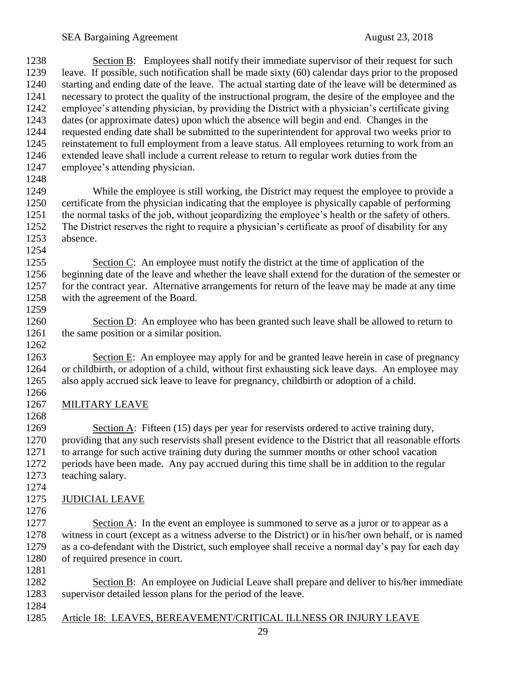Section B: Employees shall notify their immediate supervisor of their request for such leave. If possible, such notification shall be made sixty (60) calendar days prior to the proposed starting and ending date of the leave. The actual starting date of the leave will be determined as necessary to protect the quality of the instructional program, the desire of the employee and the employee's attending physician, by providing the District with a physician's certificate giving dates (or approximate dates) upon which the absence will begin and end. Changes in the requested ending date shall be submitted to the superintendent for approval two weeks prior to reinstatement to full employment from a leave status. All employees returning to work from an extended leave shall include a current release to return to regular work duties from the employee's attending physician. 

 While the employee is still working, the District may request the employee to provide a certificate from the physician indicating that the employee is physically capable of performing the normal tasks of the job, without jeopardizing the employee's health or the safety of others. The District reserves the right to require a physician's certificate as proof of disability for any absence. 

 Section C: An employee must notify the district at the time of application of the beginning date of the leave and whether the leave shall extend for the duration of the semester or for the contract year. Alternative arrangements for return of the leave may be made at any time with the agreement of the Board.

1260 Section D: An employee who has been granted such leave shall be allowed to return to the same position or a similar position. 

 Section E: An employee may apply for and be granted leave herein in case of pregnancy or childbirth, or adoption of a child, without first exhausting sick leave days. An employee may also apply accrued sick leave to leave for pregnancy, childbirth or adoption of a child. 

## MILITARY LEAVE

 Section A: Fifteen (15) days per year for reservists ordered to active training duty, providing that any such reservists shall present evidence to the District that all reasonable efforts to arrange for such active training duty during the summer months or other school vacation periods have been made. Any pay accrued during this time shall be in addition to the regular teaching salary.

- JUDICIAL LEAVE
- 

 Section A: In the event an employee is summoned to serve as a juror or to appear as a witness in court (except as a witness adverse to the District) or in his/her own behalf, or is named as a co-defendant with the District, such employee shall receive a normal day's pay for each day of required presence in court.

 Section B: An employee on Judicial Leave shall prepare and deliver to his/her immediate supervisor detailed lesson plans for the period of the leave. 

Article 18: LEAVES, BEREAVEMENT/CRITICAL ILLNESS OR INJURY LEAVE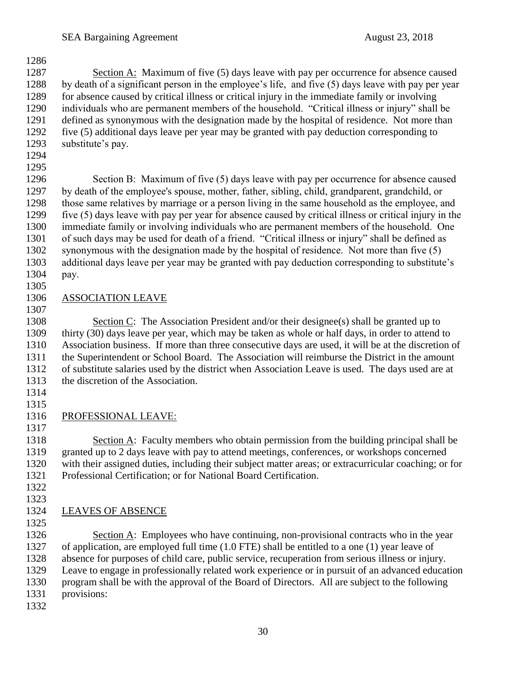Section A: Maximum of five (5) days leave with pay per occurrence for absence caused by death of a significant person in the employee's life, and five (5) days leave with pay per year for absence caused by critical illness or critical injury in the immediate family or involving individuals who are permanent members of the household. "Critical illness or injury" shall be defined as synonymous with the designation made by the hospital of residence. Not more than five (5) additional days leave per year may be granted with pay deduction corresponding to substitute's pay.

 Section B: Maximum of five (5) days leave with pay per occurrence for absence caused by death of the employee's spouse, mother, father, sibling, child, grandparent, grandchild, or those same relatives by marriage or a person living in the same household as the employee, and five (5) days leave with pay per year for absence caused by critical illness or critical injury in the immediate family or involving individuals who are permanent members of the household. One of such days may be used for death of a friend. "Critical illness or injury" shall be defined as synonymous with the designation made by the hospital of residence. Not more than five (5) additional days leave per year may be granted with pay deduction corresponding to substitute's pay.

## ASSOCIATION LEAVE

 Section C: The Association President and/or their designee(s) shall be granted up to thirty (30) days leave per year, which may be taken as whole or half days, in order to attend to Association business. If more than three consecutive days are used, it will be at the discretion of the Superintendent or School Board. The Association will reimburse the District in the amount of substitute salaries used by the district when Association Leave is used. The days used are at the discretion of the Association.

 

## PROFESSIONAL LEAVE:

 Section A: Faculty members who obtain permission from the building principal shall be granted up to 2 days leave with pay to attend meetings, conferences, or workshops concerned with their assigned duties, including their subject matter areas; or extracurricular coaching; or for Professional Certification; or for National Board Certification.

#### LEAVES OF ABSENCE

 Section A: Employees who have continuing, non-provisional contracts who in the year of application, are employed full time (1.0 FTE) shall be entitled to a one (1) year leave of absence for purposes of child care, public service, recuperation from serious illness or injury. Leave to engage in professionally related work experience or in pursuit of an advanced education program shall be with the approval of the Board of Directors. All are subject to the following provisions: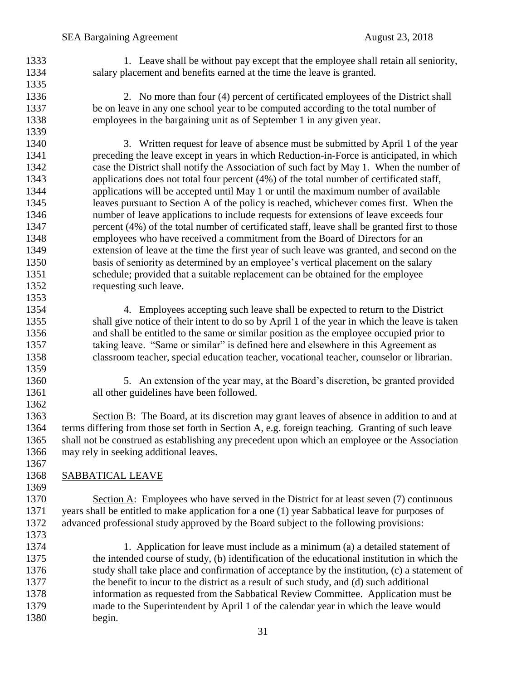1333 1. Leave shall be without pay except that the employee shall retain all seniority, 1334 salary placement and benefits earned at the time the leave is granted.

 2. No more than four (4) percent of certificated employees of the District shall be on leave in any one school year to be computed according to the total number of employees in the bargaining unit as of September 1 in any given year.

 3. Written request for leave of absence must be submitted by April 1 of the year preceding the leave except in years in which Reduction-in-Force is anticipated, in which case the District shall notify the Association of such fact by May 1. When the number of applications does not total four percent (4%) of the total number of certificated staff, applications will be accepted until May 1 or until the maximum number of available leaves pursuant to Section A of the policy is reached, whichever comes first. When the number of leave applications to include requests for extensions of leave exceeds four 1347 percent (4%) of the total number of certificated staff, leave shall be granted first to those employees who have received a commitment from the Board of Directors for an extension of leave at the time the first year of such leave was granted, and second on the basis of seniority as determined by an employee's vertical placement on the salary schedule; provided that a suitable replacement can be obtained for the employee requesting such leave.

 4. Employees accepting such leave shall be expected to return to the District shall give notice of their intent to do so by April 1 of the year in which the leave is taken and shall be entitled to the same or similar position as the employee occupied prior to taking leave. "Same or similar" is defined here and elsewhere in this Agreement as classroom teacher, special education teacher, vocational teacher, counselor or librarian.

 5. An extension of the year may, at the Board's discretion, be granted provided all other guidelines have been followed.

1363 Section B: The Board, at its discretion may grant leaves of absence in addition to and at terms differing from those set forth in Section A, e.g. foreign teaching. Granting of such leave shall not be construed as establishing any precedent upon which an employee or the Association may rely in seeking additional leaves. 

- SABBATICAL LEAVE
- 

 Section A: Employees who have served in the District for at least seven (7) continuous years shall be entitled to make application for a one (1) year Sabbatical leave for purposes of advanced professional study approved by the Board subject to the following provisions:

 1. Application for leave must include as a minimum (a) a detailed statement of the intended course of study, (b) identification of the educational institution in which the study shall take place and confirmation of acceptance by the institution, (c) a statement of the benefit to incur to the district as a result of such study, and (d) such additional information as requested from the Sabbatical Review Committee. Application must be made to the Superintendent by April 1 of the calendar year in which the leave would begin.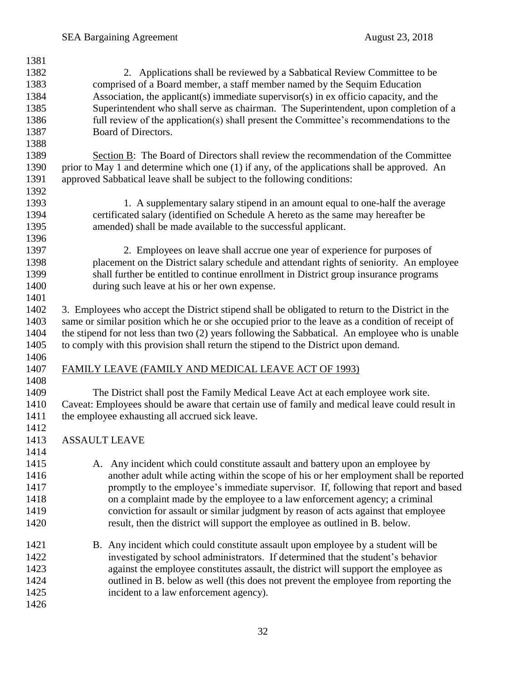2. Applications shall be reviewed by a Sabbatical Review Committee to be comprised of a Board member, a staff member named by the Sequim Education Association, the applicant(s) immediate supervisor(s) in ex officio capacity, and the Superintendent who shall serve as chairman. The Superintendent, upon completion of a full review of the application(s) shall present the Committee's recommendations to the Board of Directors. 

 Section B: The Board of Directors shall review the recommendation of the Committee prior to May 1 and determine which one (1) if any, of the applications shall be approved. An approved Sabbatical leave shall be subject to the following conditions:

 1. A supplementary salary stipend in an amount equal to one-half the average certificated salary (identified on Schedule A hereto as the same may hereafter be amended) shall be made available to the successful applicant.

 2. Employees on leave shall accrue one year of experience for purposes of placement on the District salary schedule and attendant rights of seniority. An employee shall further be entitled to continue enrollment in District group insurance programs during such leave at his or her own expense.

 3. Employees who accept the District stipend shall be obligated to return to the District in the same or similar position which he or she occupied prior to the leave as a condition of receipt of the stipend for not less than two (2) years following the Sabbatical. An employee who is unable to comply with this provision shall return the stipend to the District upon demand. 

FAMILY LEAVE (FAMILY AND MEDICAL LEAVE ACT OF 1993)

 The District shall post the Family Medical Leave Act at each employee work site. Caveat: Employees should be aware that certain use of family and medical leave could result in the employee exhausting all accrued sick leave.

- ASSAULT LEAVE
- A. Any incident which could constitute assault and battery upon an employee by another adult while acting within the scope of his or her employment shall be reported promptly to the employee's immediate supervisor. If, following that report and based on a complaint made by the employee to a law enforcement agency; a criminal conviction for assault or similar judgment by reason of acts against that employee result, then the district will support the employee as outlined in B. below.
- B. Any incident which could constitute assault upon employee by a student will be investigated by school administrators. If determined that the student's behavior against the employee constitutes assault, the district will support the employee as outlined in B. below as well (this does not prevent the employee from reporting the 1425 incident to a law enforcement agency).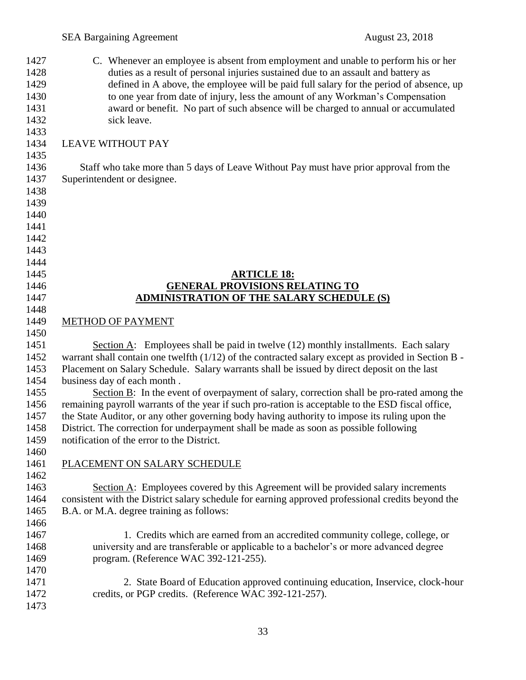C. Whenever an employee is absent from employment and unable to perform his or her duties as a result of personal injuries sustained due to an assault and battery as defined in A above, the employee will be paid full salary for the period of absence, up to one year from date of injury, less the amount of any Workman's Compensation award or benefit. No part of such absence will be charged to annual or accumulated sick leave.

#### LEAVE WITHOUT PAY

1436 Staff who take more than 5 days of Leave Without Pay must have prior approval from the Superintendent or designee.

#### **ARTICLE 18: GENERAL PROVISIONS RELATING TO ADMINISTRATION OF THE SALARY SCHEDULE (S)**

## METHOD OF PAYMENT

 Section A: Employees shall be paid in twelve (12) monthly installments. Each salary warrant shall contain one twelfth (1/12) of the contracted salary except as provided in Section B - Placement on Salary Schedule. Salary warrants shall be issued by direct deposit on the last business day of each month .

 Section B: In the event of overpayment of salary, correction shall be pro-rated among the remaining payroll warrants of the year if such pro-ration is acceptable to the ESD fiscal office, the State Auditor, or any other governing body having authority to impose its ruling upon the District. The correction for underpayment shall be made as soon as possible following notification of the error to the District.

 PLACEMENT ON SALARY SCHEDULE

 Section A: Employees covered by this Agreement will be provided salary increments consistent with the District salary schedule for earning approved professional credits beyond the B.A. or M.A. degree training as follows: 

 1. Credits which are earned from an accredited community college, college, or university and are transferable or applicable to a bachelor's or more advanced degree program. (Reference WAC 392-121-255). 

- 2. State Board of Education approved continuing education, Inservice, clock-hour credits, or PGP credits. (Reference WAC 392-121-257).
	-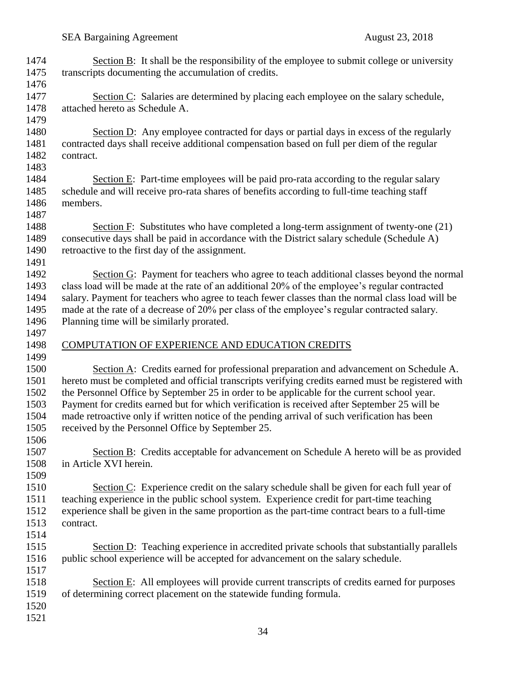| 1474 | Section $\underline{B}$ : It shall be the responsibility of the employee to submit college or university |
|------|----------------------------------------------------------------------------------------------------------|
| 1475 | transcripts documenting the accumulation of credits.                                                     |
| 1476 |                                                                                                          |
| 1477 | Section C: Salaries are determined by placing each employee on the salary schedule,                      |
| 1478 | attached hereto as Schedule A.                                                                           |
| 1479 |                                                                                                          |
| 1480 | Section D: Any employee contracted for days or partial days in excess of the regularly                   |
| 1481 | contracted days shall receive additional compensation based on full per diem of the regular              |
| 1482 | contract.                                                                                                |
| 1483 |                                                                                                          |
| 1484 | Section E: Part-time employees will be paid pro-rata according to the regular salary                     |
| 1485 | schedule and will receive pro-rata shares of benefits according to full-time teaching staff              |
| 1486 | members.                                                                                                 |
| 1487 |                                                                                                          |
| 1488 | Section $F$ : Substitutes who have completed a long-term assignment of twenty-one $(21)$                 |
| 1489 | consecutive days shall be paid in accordance with the District salary schedule (Schedule A)              |
| 1490 | retroactive to the first day of the assignment.                                                          |
| 1491 |                                                                                                          |
| 1492 | Section G: Payment for teachers who agree to teach additional classes beyond the normal                  |
| 1493 | class load will be made at the rate of an additional 20% of the employee's regular contracted            |
| 1494 | salary. Payment for teachers who agree to teach fewer classes than the normal class load will be         |
| 1495 | made at the rate of a decrease of 20% per class of the employee's regular contracted salary.             |
| 1496 | Planning time will be similarly prorated.                                                                |
| 1497 |                                                                                                          |
| 1498 | COMPUTATION OF EXPERIENCE AND EDUCATION CREDITS                                                          |
| 1499 |                                                                                                          |
| 1500 | Section A: Credits earned for professional preparation and advancement on Schedule A.                    |
| 1501 | hereto must be completed and official transcripts verifying credits earned must be registered with       |
| 1502 | the Personnel Office by September 25 in order to be applicable for the current school year.              |
| 1503 | Payment for credits earned but for which verification is received after September 25 will be             |
| 1504 | made retroactive only if written notice of the pending arrival of such verification has been             |
| 1505 | received by the Personnel Office by September 25.                                                        |
| 1506 |                                                                                                          |
| 1507 | Section B: Credits acceptable for advancement on Schedule A hereto will be as provided                   |
| 1508 | in Article XVI herein.                                                                                   |
| 1509 |                                                                                                          |
| 1510 | Section C: Experience credit on the salary schedule shall be given for each full year of                 |
| 1511 | teaching experience in the public school system. Experience credit for part-time teaching                |
| 1512 | experience shall be given in the same proportion as the part-time contract bears to a full-time          |
| 1513 | contract.                                                                                                |
| 1514 |                                                                                                          |
| 1515 | Section D: Teaching experience in accredited private schools that substantially parallels                |
| 1516 | public school experience will be accepted for advancement on the salary schedule.                        |
| 1517 |                                                                                                          |
| 1518 | Section E: All employees will provide current transcripts of credits earned for purposes                 |
| 1519 | of determining correct placement on the statewide funding formula.                                       |
| 1520 |                                                                                                          |
| 1521 |                                                                                                          |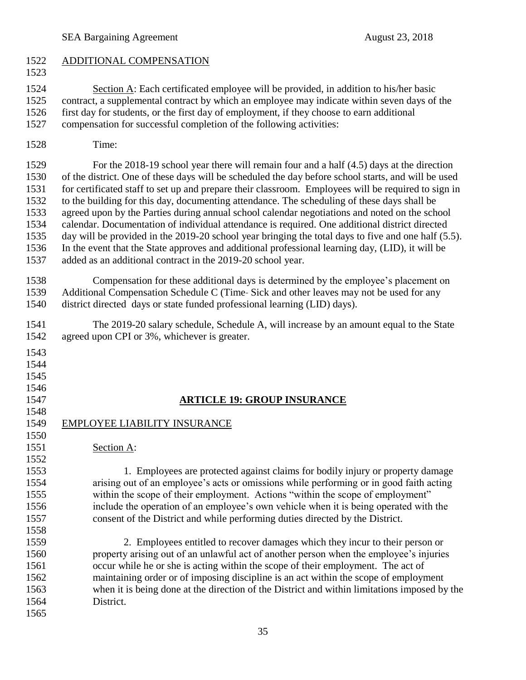## ADDITIONAL COMPENSATION

 Section A: Each certificated employee will be provided, in addition to his/her basic contract, a supplemental contract by which an employee may indicate within seven days of the first day for students, or the first day of employment, if they choose to earn additional compensation for successful completion of the following activities:

Time:

 For the 2018-19 school year there will remain four and a half (4.5) days at the direction of the district. One of these days will be scheduled the day before school starts, and will be used for certificated staff to set up and prepare their classroom. Employees will be required to sign in to the building for this day, documenting attendance. The scheduling of these days shall be agreed upon by the Parties during annual school calendar negotiations and noted on the school calendar. Documentation of individual attendance is required. One additional district directed day will be provided in the 2019-20 school year bringing the total days to five and one half (5.5). In the event that the State approves and additional professional learning day, (LID), it will be added as an additional contract in the 2019-20 school year.

 Compensation for these additional days is determined by the employee's placement on Additional Compensation Schedule C (Time Sick and other leaves may not be used for any district directed days or state funded professional learning (LID) days).

 The 2019-20 salary schedule, Schedule A, will increase by an amount equal to the State agreed upon CPI or 3%, whichever is greater.

 

## **ARTICLE 19: GROUP INSURANCE**

- EMPLOYEE LIABILITY INSURANCE
- 1551 Section A:

 1. Employees are protected against claims for bodily injury or property damage arising out of an employee's acts or omissions while performing or in good faith acting within the scope of their employment. Actions "within the scope of employment" include the operation of an employee's own vehicle when it is being operated with the consent of the District and while performing duties directed by the District.

 2. Employees entitled to recover damages which they incur to their person or property arising out of an unlawful act of another person when the employee's injuries occur while he or she is acting within the scope of their employment. The act of maintaining order or of imposing discipline is an act within the scope of employment when it is being done at the direction of the District and within limitations imposed by the District.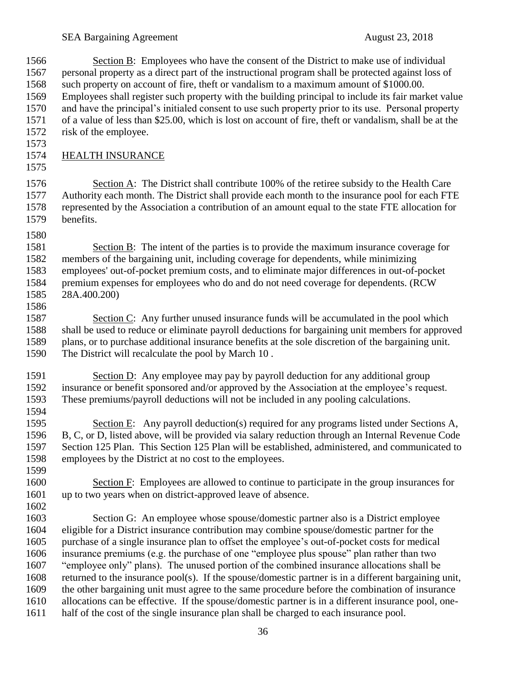Section B: Employees who have the consent of the District to make use of individual personal property as a direct part of the instructional program shall be protected against loss of such property on account of fire, theft or vandalism to a maximum amount of \$1000.00. Employees shall register such property with the building principal to include its fair market value and have the principal's initialed consent to use such property prior to its use. Personal property of a value of less than \$25.00, which is lost on account of fire, theft or vandalism, shall be at the risk of the employee. 

- HEALTH INSURANCE
- 

 Section A: The District shall contribute 100% of the retiree subsidy to the Health Care Authority each month. The District shall provide each month to the insurance pool for each FTE represented by the Association a contribution of an amount equal to the state FTE allocation for benefits.

 Section B: The intent of the parties is to provide the maximum insurance coverage for members of the bargaining unit, including coverage for dependents, while minimizing employees' out-of-pocket premium costs, and to eliminate major differences in out-of-pocket premium expenses for employees who do and do not need coverage for dependents. (RCW 28A.400.200) 

 Section C: Any further unused insurance funds will be accumulated in the pool which shall be used to reduce or eliminate payroll deductions for bargaining unit members for approved plans, or to purchase additional insurance benefits at the sole discretion of the bargaining unit. The District will recalculate the pool by March 10 .

 Section D: Any employee may pay by payroll deduction for any additional group insurance or benefit sponsored and/or approved by the Association at the employee's request. These premiums/payroll deductions will not be included in any pooling calculations. 

 Section E: Any payroll deduction(s) required for any programs listed under Sections A, B, C, or D, listed above, will be provided via salary reduction through an Internal Revenue Code Section 125 Plan. This Section 125 Plan will be established, administered, and communicated to employees by the District at no cost to the employees.

 Section F: Employees are allowed to continue to participate in the group insurances for up to two years when on district-approved leave of absence. 

 Section G: An employee whose spouse/domestic partner also is a District employee eligible for a District insurance contribution may combine spouse/domestic partner for the purchase of a single insurance plan to offset the employee's out-of-pocket costs for medical insurance premiums (e.g. the purchase of one "employee plus spouse" plan rather than two "employee only" plans). The unused portion of the combined insurance allocations shall be returned to the insurance pool(s). If the spouse/domestic partner is in a different bargaining unit, the other bargaining unit must agree to the same procedure before the combination of insurance allocations can be effective. If the spouse/domestic partner is in a different insurance pool, one-half of the cost of the single insurance plan shall be charged to each insurance pool.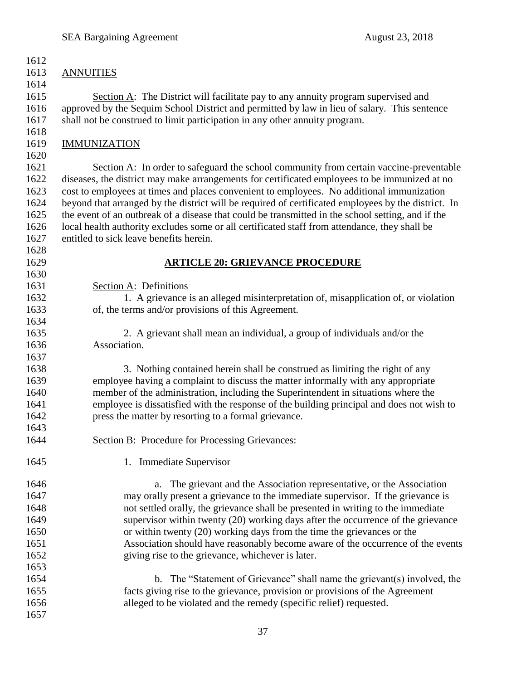| 1612         |                                                                                                      |
|--------------|------------------------------------------------------------------------------------------------------|
| 1613         | <b>ANNUITIES</b>                                                                                     |
| 1614         |                                                                                                      |
| 1615         | Section $A$ : The District will facilitate pay to any annuity program supervised and                 |
| 1616         | approved by the Sequim School District and permitted by law in lieu of salary. This sentence         |
| 1617         | shall not be construed to limit participation in any other annuity program.                          |
| 1618         |                                                                                                      |
| 1619         | <b>IMMUNIZATION</b>                                                                                  |
| 1620         |                                                                                                      |
| 1621         | Section $\overline{A}$ : In order to safeguard the school community from certain vaccine-preventable |
| 1622         | diseases, the district may make arrangements for certificated employees to be immunized at no        |
| 1623         | cost to employees at times and places convenient to employees. No additional immunization            |
| 1624         | beyond that arranged by the district will be required of certificated employees by the district. In  |
| 1625         | the event of an outbreak of a disease that could be transmitted in the school setting, and if the    |
| 1626         | local health authority excludes some or all certificated staff from attendance, they shall be        |
| 1627         | entitled to sick leave benefits herein.                                                              |
| 1628         |                                                                                                      |
| 1629         | <b>ARTICLE 20: GRIEVANCE PROCEDURE</b>                                                               |
| 1630         |                                                                                                      |
| 1631         | Section A: Definitions                                                                               |
| 1632         | 1. A grievance is an alleged misinterpretation of, misapplication of, or violation                   |
| 1633         | of, the terms and/or provisions of this Agreement.                                                   |
| 1634         |                                                                                                      |
| 1635         | 2. A grievant shall mean an individual, a group of individuals and/or the                            |
| 1636         | Association.                                                                                         |
| 1637         |                                                                                                      |
| 1638         | 3. Nothing contained herein shall be construed as limiting the right of any                          |
| 1639         | employee having a complaint to discuss the matter informally with any appropriate                    |
| 1640         | member of the administration, including the Superintendent in situations where the                   |
| 1641         | employee is dissatisfied with the response of the building principal and does not wish to            |
| 1642         | press the matter by resorting to a formal grievance.                                                 |
| 1643         |                                                                                                      |
| 1644         | <b>Section B:</b> Procedure for Processing Grievances:                                               |
|              |                                                                                                      |
| 1645         | 1. Immediate Supervisor                                                                              |
| 1646         | The grievant and the Association representative, or the Association                                  |
| 1647         | a.<br>may orally present a grievance to the immediate supervisor. If the grievance is                |
| 1648         | not settled orally, the grievance shall be presented in writing to the immediate                     |
| 1649         | supervisor within twenty (20) working days after the occurrence of the grievance                     |
| 1650         | or within twenty (20) working days from the time the grievances or the                               |
| 1651         |                                                                                                      |
| 1652         | Association should have reasonably become aware of the occurrence of the events                      |
| 1653         | giving rise to the grievance, whichever is later.                                                    |
|              |                                                                                                      |
| 1654<br>1655 | b. The "Statement of Grievance" shall name the grievant(s) involved, the                             |
|              | facts giving rise to the grievance, provision or provisions of the Agreement                         |
| 1656         | alleged to be violated and the remedy (specific relief) requested.                                   |
| 1657         |                                                                                                      |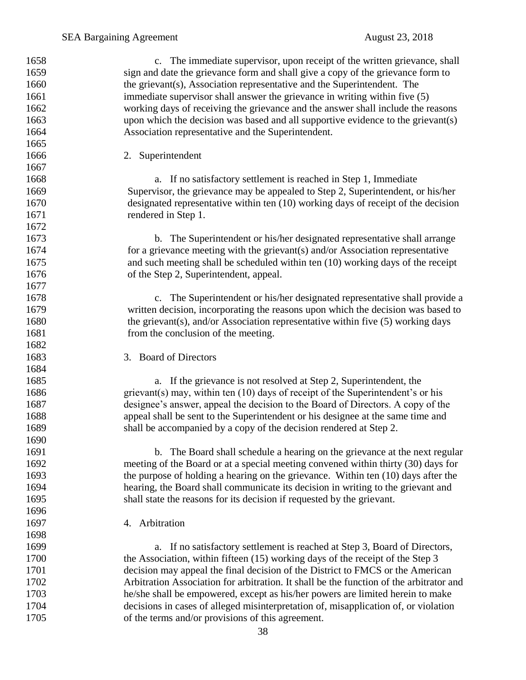| 1658         | c. The immediate supervisor, upon receipt of the written grievance, shall                                                                |
|--------------|------------------------------------------------------------------------------------------------------------------------------------------|
| 1659         | sign and date the grievance form and shall give a copy of the grievance form to                                                          |
| 1660         | the grievant(s), Association representative and the Superintendent. The                                                                  |
| 1661         | immediate supervisor shall answer the grievance in writing within five (5)                                                               |
| 1662         | working days of receiving the grievance and the answer shall include the reasons                                                         |
| 1663         | upon which the decision was based and all supportive evidence to the grievant(s)                                                         |
| 1664         | Association representative and the Superintendent.                                                                                       |
| 1665         |                                                                                                                                          |
| 1666         | 2. Superintendent                                                                                                                        |
| 1667         |                                                                                                                                          |
| 1668         | a. If no satisfactory settlement is reached in Step 1, Immediate                                                                         |
| 1669         | Supervisor, the grievance may be appealed to Step 2, Superintendent, or his/her                                                          |
| 1670         | designated representative within ten (10) working days of receipt of the decision                                                        |
| 1671         | rendered in Step 1.                                                                                                                      |
| 1672         |                                                                                                                                          |
| 1673         | b. The Superintendent or his/her designated representative shall arrange                                                                 |
| 1674         | for a grievance meeting with the grievant(s) and/or Association representative                                                           |
| 1675         | and such meeting shall be scheduled within ten (10) working days of the receipt                                                          |
| 1676         | of the Step 2, Superintendent, appeal.                                                                                                   |
| 1677         |                                                                                                                                          |
| 1678         | c. The Superintendent or his/her designated representative shall provide a                                                               |
| 1679         | written decision, incorporating the reasons upon which the decision was based to                                                         |
| 1680         | the grievant(s), and/or Association representative within five $(5)$ working days                                                        |
| 1681         | from the conclusion of the meeting.                                                                                                      |
|              |                                                                                                                                          |
|              |                                                                                                                                          |
| 1682         |                                                                                                                                          |
| 1683         | 3. Board of Directors                                                                                                                    |
| 1684         |                                                                                                                                          |
| 1685         | a. If the grievance is not resolved at Step 2, Superintendent, the                                                                       |
| 1686         | $grievant(s)$ may, within ten $(10)$ days of receipt of the Superintendent's or his                                                      |
| 1687         | designee's answer, appeal the decision to the Board of Directors. A copy of the                                                          |
| 1688         | appeal shall be sent to the Superintendent or his designee at the same time and                                                          |
| 1689         | shall be accompanied by a copy of the decision rendered at Step 2.                                                                       |
| 1690         |                                                                                                                                          |
| 1691         | b. The Board shall schedule a hearing on the grievance at the next regular                                                               |
| 1692         | meeting of the Board or at a special meeting convened within thirty (30) days for                                                        |
| 1693         | the purpose of holding a hearing on the grievance. Within ten (10) days after the                                                        |
| 1694         | hearing, the Board shall communicate its decision in writing to the grievant and                                                         |
| 1695         | shall state the reasons for its decision if requested by the grievant.                                                                   |
| 1696         |                                                                                                                                          |
| 1697         | 4. Arbitration                                                                                                                           |
| 1698         |                                                                                                                                          |
| 1699         | a. If no satisfactory settlement is reached at Step 3, Board of Directors,                                                               |
| 1700         | the Association, within fifteen (15) working days of the receipt of the Step 3                                                           |
| 1701         | decision may appeal the final decision of the District to FMCS or the American                                                           |
| 1702         | Arbitration Association for arbitration. It shall be the function of the arbitrator and                                                  |
| 1703         | he/she shall be empowered, except as his/her powers are limited herein to make                                                           |
| 1704<br>1705 | decisions in cases of alleged misinterpretation of, misapplication of, or violation<br>of the terms and/or provisions of this agreement. |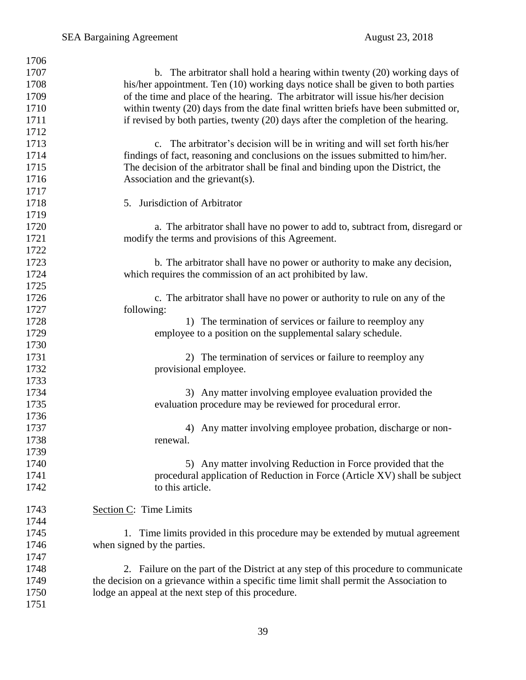| 1706 |                                                                                          |
|------|------------------------------------------------------------------------------------------|
| 1707 | b. The arbitrator shall hold a hearing within twenty (20) working days of                |
| 1708 | his/her appointment. Ten (10) working days notice shall be given to both parties         |
| 1709 | of the time and place of the hearing. The arbitrator will issue his/her decision         |
| 1710 | within twenty (20) days from the date final written briefs have been submitted or,       |
| 1711 | if revised by both parties, twenty (20) days after the completion of the hearing.        |
| 1712 |                                                                                          |
| 1713 | c. The arbitrator's decision will be in writing and will set forth his/her               |
| 1714 | findings of fact, reasoning and conclusions on the issues submitted to him/her.          |
| 1715 | The decision of the arbitrator shall be final and binding upon the District, the         |
| 1716 | Association and the grievant(s).                                                         |
| 1717 |                                                                                          |
| 1718 | 5. Jurisdiction of Arbitrator                                                            |
| 1719 |                                                                                          |
| 1720 | a. The arbitrator shall have no power to add to, subtract from, disregard or             |
| 1721 | modify the terms and provisions of this Agreement.                                       |
| 1722 |                                                                                          |
| 1723 | b. The arbitrator shall have no power or authority to make any decision,                 |
| 1724 | which requires the commission of an act prohibited by law.                               |
| 1725 |                                                                                          |
| 1726 | c. The arbitrator shall have no power or authority to rule on any of the                 |
| 1727 | following:                                                                               |
| 1728 | 1) The termination of services or failure to reemploy any                                |
| 1729 | employee to a position on the supplemental salary schedule.                              |
| 1730 |                                                                                          |
| 1731 | 2) The termination of services or failure to reemploy any                                |
| 1732 | provisional employee.                                                                    |
| 1733 |                                                                                          |
| 1734 | 3) Any matter involving employee evaluation provided the                                 |
| 1735 | evaluation procedure may be reviewed for procedural error.                               |
| 1736 |                                                                                          |
| 1737 | 4) Any matter involving employee probation, discharge or non-                            |
| 1738 | renewal.                                                                                 |
| 1739 |                                                                                          |
| 1740 | 5) Any matter involving Reduction in Force provided that the                             |
| 1741 | procedural application of Reduction in Force (Article XV) shall be subject               |
| 1742 | to this article.                                                                         |
|      |                                                                                          |
| 1743 | Section C: Time Limits                                                                   |
| 1744 |                                                                                          |
| 1745 | 1. Time limits provided in this procedure may be extended by mutual agreement            |
| 1746 | when signed by the parties.                                                              |
| 1747 |                                                                                          |
| 1748 | 2. Failure on the part of the District at any step of this procedure to communicate      |
| 1749 | the decision on a grievance within a specific time limit shall permit the Association to |
| 1750 | lodge an appeal at the next step of this procedure.                                      |
| 1751 |                                                                                          |
|      |                                                                                          |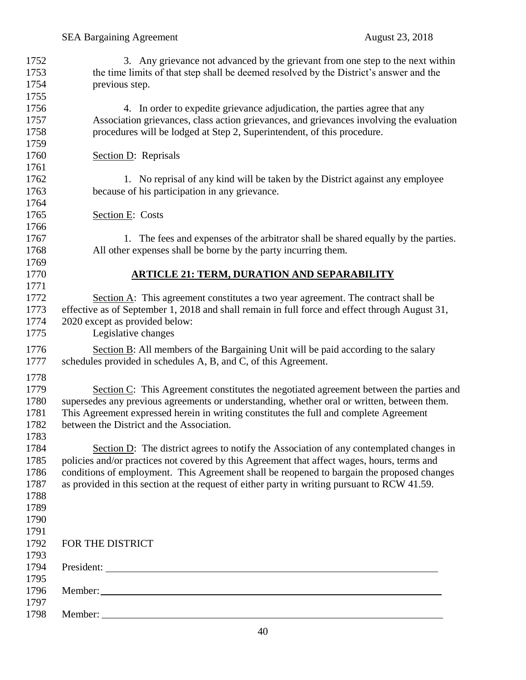| 1752 | 3. Any grievance not advanced by the grievant from one step to the next within                    |
|------|---------------------------------------------------------------------------------------------------|
| 1753 | the time limits of that step shall be deemed resolved by the District's answer and the            |
| 1754 | previous step.                                                                                    |
| 1755 |                                                                                                   |
| 1756 | 4. In order to expedite grievance adjudication, the parties agree that any                        |
| 1757 | Association grievances, class action grievances, and grievances involving the evaluation          |
| 1758 | procedures will be lodged at Step 2, Superintendent, of this procedure.                           |
| 1759 |                                                                                                   |
| 1760 | <b>Section D:</b> Reprisals                                                                       |
| 1761 |                                                                                                   |
| 1762 | 1. No reprisal of any kind will be taken by the District against any employee                     |
| 1763 | because of his participation in any grievance.                                                    |
| 1764 |                                                                                                   |
| 1765 | Section E: Costs                                                                                  |
| 1766 |                                                                                                   |
| 1767 | 1. The fees and expenses of the arbitrator shall be shared equally by the parties.                |
| 1768 | All other expenses shall be borne by the party incurring them.                                    |
| 1769 |                                                                                                   |
| 1770 | <b>ARTICLE 21: TERM, DURATION AND SEPARABILITY</b>                                                |
| 1771 |                                                                                                   |
| 1772 | Section A: This agreement constitutes a two year agreement. The contract shall be                 |
| 1773 | effective as of September 1, 2018 and shall remain in full force and effect through August 31,    |
| 1774 | 2020 except as provided below:                                                                    |
| 1775 | Legislative changes                                                                               |
| 1776 | Section $\underline{B}$ : All members of the Bargaining Unit will be paid according to the salary |
| 1777 | schedules provided in schedules A, B, and C, of this Agreement.                                   |
| 1778 |                                                                                                   |
| 1779 | Section C: This Agreement constitutes the negotiated agreement between the parties and            |
| 1780 | supersedes any previous agreements or understanding, whether oral or written, between them.       |
| 1781 | This Agreement expressed herein in writing constitutes the full and complete Agreement            |
| 1782 | between the District and the Association.                                                         |
| 1783 |                                                                                                   |
| 1784 | Section D: The district agrees to notify the Association of any contemplated changes in           |
| 1785 | policies and/or practices not covered by this Agreement that affect wages, hours, terms and       |
| 1786 | conditions of employment. This Agreement shall be reopened to bargain the proposed changes        |
| 1787 | as provided in this section at the request of either party in writing pursuant to RCW 41.59.      |
| 1788 |                                                                                                   |
| 1789 |                                                                                                   |
| 1790 |                                                                                                   |
| 1791 |                                                                                                   |
| 1792 | FOR THE DISTRICT                                                                                  |
| 1793 |                                                                                                   |
| 1794 |                                                                                                   |
| 1795 |                                                                                                   |
| 1796 |                                                                                                   |
| 1797 |                                                                                                   |
| 1798 |                                                                                                   |
|      |                                                                                                   |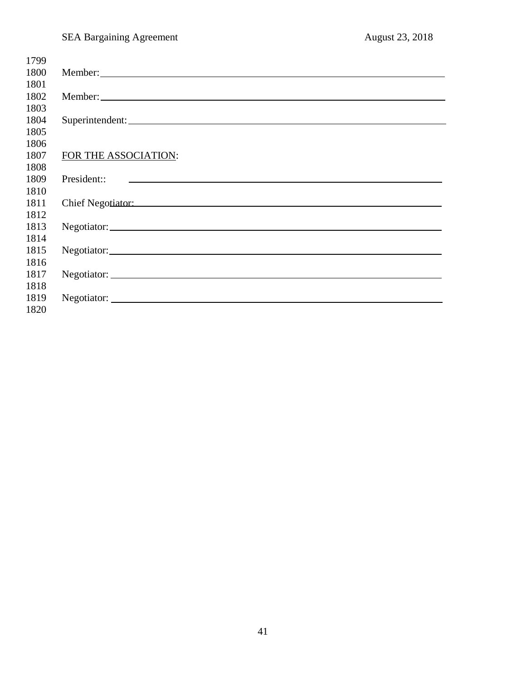| 1799 |                               |
|------|-------------------------------|
| 1800 |                               |
| 1801 |                               |
| 1802 |                               |
| 1803 |                               |
| 1804 | Superintendent:               |
| 1805 |                               |
| 1806 |                               |
| 1807 | FOR THE ASSOCIATION:          |
| 1808 |                               |
| 1809 |                               |
| 1810 |                               |
| 1811 | Chief Negotiator: Negotiator: |
| 1812 |                               |
| 1813 |                               |
| 1814 |                               |
| 1815 |                               |
| 1816 |                               |
| 1817 |                               |
| 1818 |                               |
| 1819 |                               |
| 1820 |                               |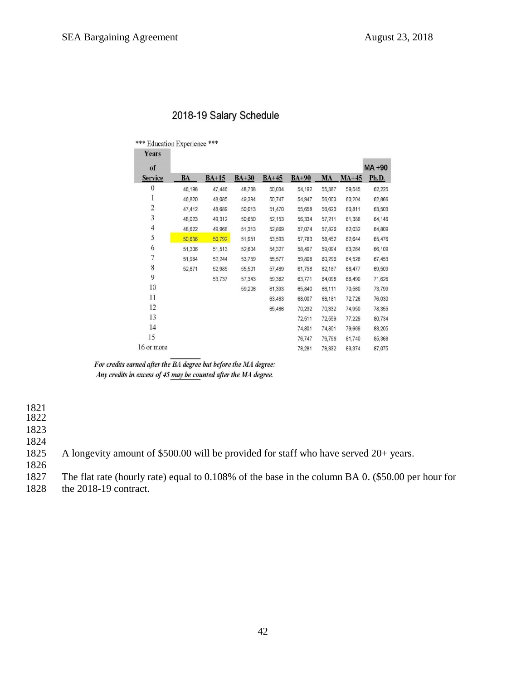| Years                   | <b>EVIDENTIAL EXPENSIVE</b> |         |         |         |         |           |         |        |
|-------------------------|-----------------------------|---------|---------|---------|---------|-----------|---------|--------|
| of                      |                             |         |         |         |         |           |         | MA +90 |
| <b>Service</b>          | BA                          | $BA+15$ | $BA+30$ | $BA+45$ | $BA+90$ | <b>MA</b> | $MA+45$ | Ph.D.  |
| $\theta$                | 46,198                      | 47,446  | 48,738  | 50,034  | 54,192  | 55,387    | 59,545  | 62,225 |
| 1                       | 46,820                      | 48,085  | 49,394  | 50,747  | 54,947  | 56,003    | 60.204  | 62,866 |
| $\overline{\mathbf{c}}$ | 47,412                      | 48.689  | 50,013  | 51,470  | 55,658  | 56,623    | 60,811  | 63,503 |
| 3                       | 48,023                      | 49.312  | 50,650  | 52,153  | 56,334  | 57,211    | 61,388  | 64,146 |
| $\overline{4}$          | 48,622                      | 49.968  | 51,313  | 52,869  | 57,074  | 57,826    | 62,032  | 64,809 |
| 5                       | 50,636                      | 50,792  | 51,951  | 53,593  | 57,783  | 58.452    | 62,644  | 65,476 |
| 6                       | 51,306                      | 51,513  | 52,604  | 54,327  | 58,497  | 59,094    | 63,264  | 66,109 |
| 7                       | 51,984                      | 52,244  | 53,759  | 55,577  | 59,808  | 60,296    | 64.526  | 67,453 |
| 8                       | 52,671                      | 52,985  | 55,501  | 57,469  | 61,758  | 62,187    | 66.477  | 69,509 |
| 9                       |                             | 53,737  | 57,343  | 59,382  | 63,771  | 64,098    | 68.490  | 71,626 |
| 10                      |                             |         | 59,206  | 61,393  | 65,840  | 66,111    | 70,560  | 73,799 |
| 11                      |                             |         |         | 63,463  | 68,007  | 68,181    | 72,726  | 76,030 |
| 12                      |                             |         |         | 65,466  | 70,232  | 70,332    | 74.950  | 78,355 |
| 13                      |                             |         |         |         | 72,511  | 72,559    | 77,229  | 80,734 |
| 14                      |                             |         |         |         | 74,801  | 74,851    | 79,669  | 83,205 |
| 15                      |                             |         |         |         | 76,747  | 76,796    | 81,740  | 85,368 |
| 16 or more              |                             |         |         |         | 78,281  | 78.332    | 83,374  | 87,075 |

## 2018-19 Salary Schedule

\*\*\* Education Experience \*\*\*

For credits earned after the BA degree but before the MA degree: Any credits in excess of 45 may be counted after the MA degree.

1821

1822

1823

1824 A longevity amount of  $$500.00$  will be provided for staff who have served  $20+$  years.

1826

1827 The flat rate (hourly rate) equal to 0.108% of the base in the column BA 0. (\$50.00 per hour for 1828 the 2018-19 contract.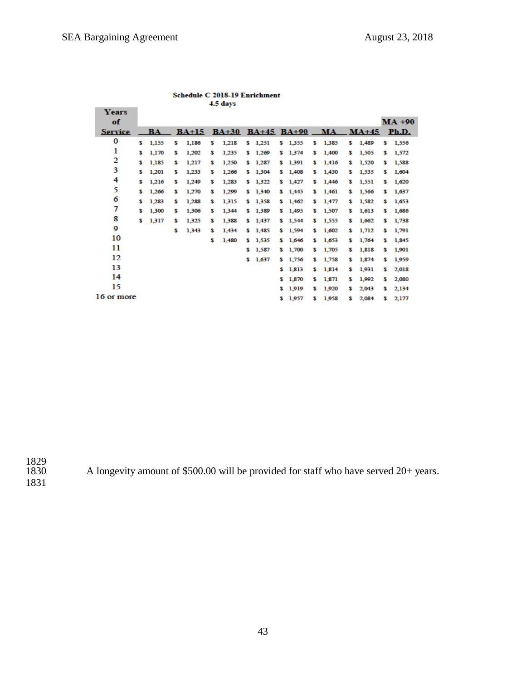| <b>Years</b>   |   |       |   |       |   | The ways |   |         |    |         |   |                            |   |         |   |          |
|----------------|---|-------|---|-------|---|----------|---|---------|----|---------|---|----------------------------|---|---------|---|----------|
| of             |   |       |   |       |   |          |   |         |    |         |   |                            |   |         |   | $MA +90$ |
| <b>Service</b> |   | BA —  |   |       |   |          |   |         |    |         |   | BA+15 BA+30 BA+45 BA+90 MA |   | $MA+45$ |   | Ph.D.    |
| 0              | s | 1,155 | s | 1,186 | s | 1,218    |   | \$1,251 |    | \$1,355 | s | 1,385                      | s | 1,489   |   | \$1,556  |
| 1              | s | 1,170 | s | 1,202 | s | 1,235    |   | \$1,269 |    | \$1,374 | s | 1,400                      | s | 1,505   | s | 1,572    |
| 2              | s | 1,185 | s | 1,217 | s | 1,250    | s | 1,287   | s  | 1,391   | s | 1,416                      | s | 1,520   | s | 1,588    |
| 3              | s | 1,201 | s | 1.233 | s | 1,266    |   | \$1,304 |    | \$1,408 | s | 1,430                      | s | 1,535   | s | 1,604    |
| 4              | s | 1,216 | s | 1.249 | s | 1.283    | s | 1,322   | s  | 1,427   | s | 1,446                      | s | 1.551   | s | 1.620    |
| 5              | s | 1.266 | s | 1.270 | s | 1,299    | s | 1,340   | s  | 1,445   | s | 1,461                      | s | 1,566   | s | 1,637    |
| 6              | s | 1,283 | s | 1.288 | s | 1,315    |   | \$1,358 |    | \$1,462 | s | 1,477                      | s | 1.582   | s | 1.653    |
| 7              | s | 1,300 | s | 1,306 | s | 1,344    | s | 1,389   | s. | 1,495   | s | 1,507                      | s | 1,613   | s | 1,686    |
| 8              | s | 1,317 | s | 1.325 | s | 1,388    | s | 1,437   | s  | 1,544   | s | 1,555                      | s | 1,662   | s | 1,738    |
| 9              |   |       | s | 1.343 | s | 1,434    |   | \$1,485 |    | \$1,594 | s | 1,602                      | s | 1,712   | s | 1,791    |
| 10             |   |       |   |       | s | 1,480    | s | 1,535   | s  | 1,646   | s | 1.653                      | s | 1.764   | s | 1,845    |
| 11             |   |       |   |       |   |          | s | 1,587   | s. | 1,700   | s | 1,705                      | s | 1,818   | s | 1,901    |
| 12             |   |       |   |       |   |          | s | 1,637   | s  | 1,756   | s | 1,758                      | s | 1,874   | s | 1,959    |
| 13             |   |       |   |       |   |          |   |         | s  | 1,813   | s | 1,814                      | s | 1,931   | s | 2,018    |
| 14             |   |       |   |       |   |          |   |         | s  | 1,870   | s | 1,871                      | s | 1,992   | s | 2,080    |
| 15             |   |       |   |       |   |          |   |         | s  | 1,919   | s | 1,920                      | s | 2,043   | s | 2,134    |
| 16 or more     |   |       |   |       |   |          |   |         |    | 1,957   | s | 1,958                      | s | 2,084   | s | 2,177    |

#### Schedule C 2018-19 Enrichment  $4.5$  days

1829<br>1830 1831

A longevity amount of  $$500.00$  will be provided for staff who have served  $20+$  years.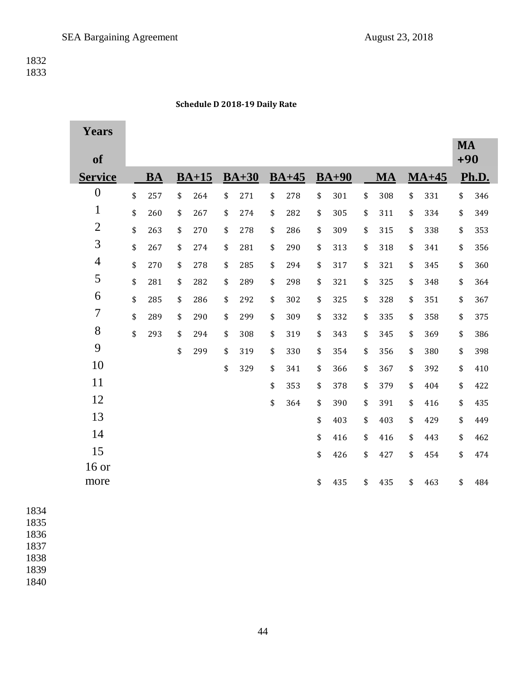### **Schedule D 2018-19 Daily Rate**

| <b>Years</b>     |           |           |           |           |           |           |           |                    |       |
|------------------|-----------|-----------|-----------|-----------|-----------|-----------|-----------|--------------------|-------|
| of               |           |           |           |           |           |           |           | <b>MA</b><br>$+90$ |       |
| <b>Service</b>   | <b>BA</b> | $BA+15$   | $BA+30$   | $BA+45$   | $BA+90$   | <b>MA</b> | $MA+45$   |                    | Ph.D. |
| $\boldsymbol{0}$ | \$<br>257 | \$<br>264 | \$<br>271 | \$<br>278 | \$<br>301 | \$<br>308 | \$<br>331 | \$                 | 346   |
| $\mathbf 1$      | \$<br>260 | \$<br>267 | \$<br>274 | \$<br>282 | \$<br>305 | \$<br>311 | \$<br>334 | \$                 | 349   |
| $\overline{2}$   | \$<br>263 | \$<br>270 | \$<br>278 | \$<br>286 | \$<br>309 | \$<br>315 | \$<br>338 | \$                 | 353   |
| 3                | \$<br>267 | \$<br>274 | \$<br>281 | \$<br>290 | \$<br>313 | \$<br>318 | \$<br>341 | \$                 | 356   |
| $\overline{4}$   | \$<br>270 | \$<br>278 | \$<br>285 | \$<br>294 | \$<br>317 | \$<br>321 | \$<br>345 | \$                 | 360   |
| 5                | \$<br>281 | \$<br>282 | \$<br>289 | \$<br>298 | \$<br>321 | \$<br>325 | \$<br>348 | \$                 | 364   |
| 6                | \$<br>285 | \$<br>286 | \$<br>292 | \$<br>302 | \$<br>325 | \$<br>328 | \$<br>351 | \$                 | 367   |
| 7                | \$<br>289 | \$<br>290 | \$<br>299 | \$<br>309 | \$<br>332 | \$<br>335 | \$<br>358 | \$                 | 375   |
| 8                | \$<br>293 | \$<br>294 | \$<br>308 | \$<br>319 | \$<br>343 | \$<br>345 | \$<br>369 | \$                 | 386   |
| 9                |           | \$<br>299 | \$<br>319 | \$<br>330 | \$<br>354 | \$<br>356 | \$<br>380 | \$                 | 398   |
| 10               |           |           | \$<br>329 | \$<br>341 | \$<br>366 | \$<br>367 | \$<br>392 | \$                 | 410   |
| 11               |           |           |           | \$<br>353 | \$<br>378 | \$<br>379 | \$<br>404 | \$                 | 422   |
| 12               |           |           |           | \$<br>364 | \$<br>390 | \$<br>391 | \$<br>416 | \$                 | 435   |
| 13               |           |           |           |           | \$<br>403 | \$<br>403 | \$<br>429 | \$                 | 449   |
| 14               |           |           |           |           | \$<br>416 | \$<br>416 | \$<br>443 | \$                 | 462   |
| 15               |           |           |           |           | \$<br>426 | \$<br>427 | \$<br>454 | \$                 | 474   |
| $16$ or<br>more  |           |           |           |           | \$<br>435 | \$<br>435 | \$<br>463 | \$                 | 484   |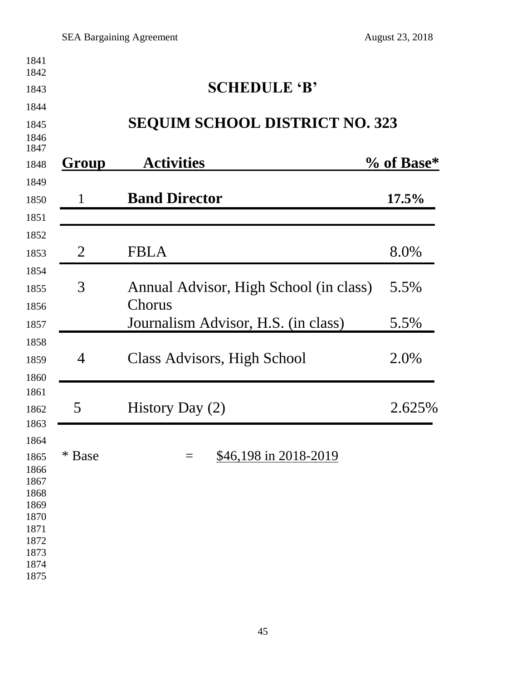|                | <b>SEQUIM SCHOOL DISTRICT NO. 323</b>            |            |
|----------------|--------------------------------------------------|------------|
| <b>Group</b>   | <b>Activities</b>                                | % of Base* |
| $\mathbf{1}$   | <b>Band Director</b>                             | $17.5\%$   |
| $\overline{2}$ | <b>FBLA</b>                                      | 8.0%       |
| 3              | Annual Advisor, High School (in class)<br>Chorus | 5.5%       |
|                | Journalism Advisor, H.S. (in class)              | 5.5%       |
| 4              | Class Advisors, High School                      | 2.0%       |
| 5              | History Day $(2)$                                | 2.625%     |
|                | \$46,198 in 2018-2019<br>$=$                     |            |
| * Base         |                                                  |            |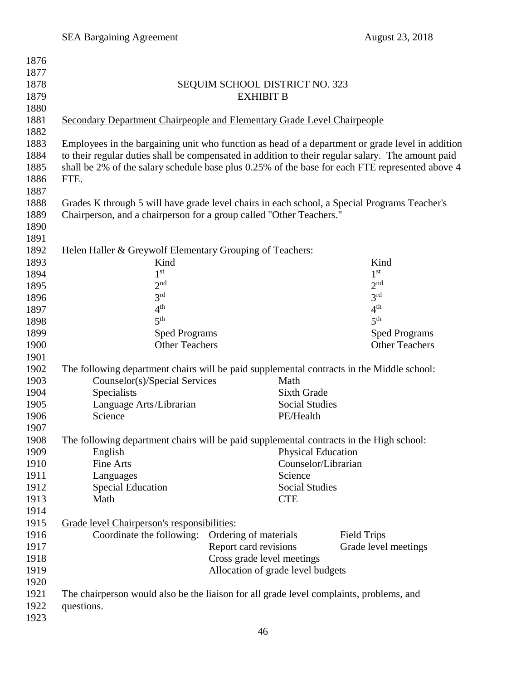| 1876         |                                                                                                   |                                                     |                           |                      |  |  |  |  |
|--------------|---------------------------------------------------------------------------------------------------|-----------------------------------------------------|---------------------------|----------------------|--|--|--|--|
| 1877         |                                                                                                   |                                                     |                           |                      |  |  |  |  |
| 1878         | <b>SEQUIM SCHOOL DISTRICT NO. 323</b>                                                             |                                                     |                           |                      |  |  |  |  |
| 1879         | <b>EXHIBIT B</b>                                                                                  |                                                     |                           |                      |  |  |  |  |
| 1880         |                                                                                                   |                                                     |                           |                      |  |  |  |  |
| 1881<br>1882 | Secondary Department Chairpeople and Elementary Grade Level Chairpeople                           |                                                     |                           |                      |  |  |  |  |
| 1883         | Employees in the bargaining unit who function as head of a department or grade level in addition  |                                                     |                           |                      |  |  |  |  |
| 1884         | to their regular duties shall be compensated in addition to their regular salary. The amount paid |                                                     |                           |                      |  |  |  |  |
| 1885         | shall be 2% of the salary schedule base plus 0.25% of the base for each FTE represented above 4   |                                                     |                           |                      |  |  |  |  |
| 1886         | FTE.                                                                                              |                                                     |                           |                      |  |  |  |  |
| 1887         |                                                                                                   |                                                     |                           |                      |  |  |  |  |
| 1888         | Grades K through 5 will have grade level chairs in each school, a Special Programs Teacher's      |                                                     |                           |                      |  |  |  |  |
|              |                                                                                                   |                                                     |                           |                      |  |  |  |  |
| 1889         | Chairperson, and a chairperson for a group called "Other Teachers."                               |                                                     |                           |                      |  |  |  |  |
| 1890         |                                                                                                   |                                                     |                           |                      |  |  |  |  |
| 1891         |                                                                                                   |                                                     |                           |                      |  |  |  |  |
| 1892         | Helen Haller & Greywolf Elementary Grouping of Teachers:                                          |                                                     |                           |                      |  |  |  |  |
| 1893         | Kind<br>$1^{\rm st}$                                                                              |                                                     | 1 <sup>st</sup>           | Kind                 |  |  |  |  |
| 1894         |                                                                                                   |                                                     |                           |                      |  |  |  |  |
| 1895         | 2 <sup>nd</sup>                                                                                   |                                                     | 2 <sup>nd</sup>           |                      |  |  |  |  |
| 1896         | 3 <sup>rd</sup>                                                                                   |                                                     | 3 <sup>rd</sup>           |                      |  |  |  |  |
| 1897         | 4 <sup>th</sup>                                                                                   |                                                     | 4 <sup>th</sup>           |                      |  |  |  |  |
| 1898         | 5 <sup>th</sup>                                                                                   |                                                     | 5 <sup>th</sup>           |                      |  |  |  |  |
| 1899         | <b>Sped Programs</b>                                                                              |                                                     |                           | <b>Sped Programs</b> |  |  |  |  |
| 1900         | <b>Other Teachers</b>                                                                             |                                                     | <b>Other Teachers</b>     |                      |  |  |  |  |
| 1901         |                                                                                                   |                                                     |                           |                      |  |  |  |  |
| 1902         | The following department chairs will be paid supplemental contracts in the Middle school:         |                                                     |                           |                      |  |  |  |  |
| 1903         | Counselor(s)/Special Services                                                                     | Math                                                |                           |                      |  |  |  |  |
| 1904         | Specialists                                                                                       |                                                     | <b>Sixth Grade</b>        |                      |  |  |  |  |
| 1905         | Language Arts/Librarian                                                                           |                                                     | <b>Social Studies</b>     |                      |  |  |  |  |
| 1906         | Science                                                                                           |                                                     | PE/Health                 |                      |  |  |  |  |
| 1907         |                                                                                                   |                                                     |                           |                      |  |  |  |  |
| 1908         | The following department chairs will be paid supplemental contracts in the High school:           |                                                     |                           |                      |  |  |  |  |
| 1909         | English                                                                                           |                                                     | <b>Physical Education</b> |                      |  |  |  |  |
| 1910         | <b>Fine Arts</b>                                                                                  |                                                     | Counselor/Librarian       |                      |  |  |  |  |
| 1911         | Languages                                                                                         | Science                                             |                           |                      |  |  |  |  |
| 1912         | <b>Special Education</b>                                                                          |                                                     | <b>Social Studies</b>     |                      |  |  |  |  |
| 1913         | Math                                                                                              | <b>CTE</b>                                          |                           |                      |  |  |  |  |
| 1914         |                                                                                                   |                                                     |                           |                      |  |  |  |  |
| 1915         | Grade level Chairperson's responsibilities:                                                       |                                                     |                           |                      |  |  |  |  |
| 1916         | Coordinate the following:                                                                         | Ordering of materials                               | <b>Field Trips</b>        |                      |  |  |  |  |
| 1917         |                                                                                                   |                                                     | Grade level meetings      |                      |  |  |  |  |
| 1918         |                                                                                                   | Report card revisions<br>Cross grade level meetings |                           |                      |  |  |  |  |
| 1919         |                                                                                                   | Allocation of grade level budgets                   |                           |                      |  |  |  |  |
| 1920         |                                                                                                   |                                                     |                           |                      |  |  |  |  |
| 1921         | The chairperson would also be the liaison for all grade level complaints, problems, and           |                                                     |                           |                      |  |  |  |  |
| 1922         | questions.                                                                                        |                                                     |                           |                      |  |  |  |  |
| 1923         |                                                                                                   |                                                     |                           |                      |  |  |  |  |
|              |                                                                                                   |                                                     |                           |                      |  |  |  |  |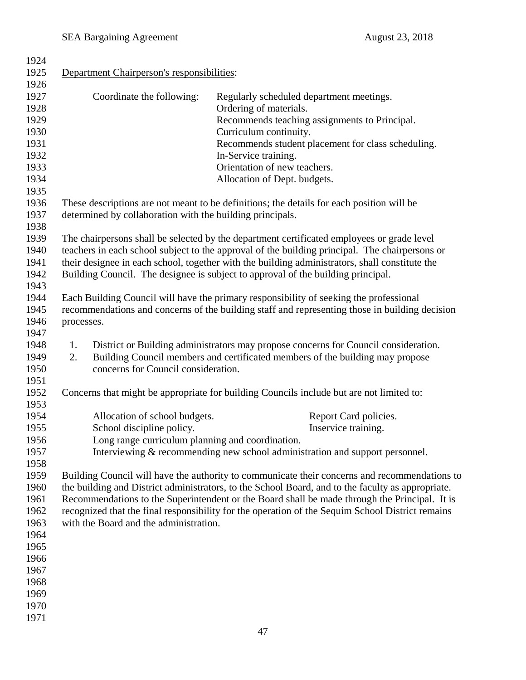|            | Department Chairperson's responsibilities:                                                                     |                                                                                                                                                                                                                                                                                                                                                                                                         |
|------------|----------------------------------------------------------------------------------------------------------------|---------------------------------------------------------------------------------------------------------------------------------------------------------------------------------------------------------------------------------------------------------------------------------------------------------------------------------------------------------------------------------------------------------|
|            | Coordinate the following:                                                                                      | Regularly scheduled department meetings.<br>Ordering of materials.<br>Recommends teaching assignments to Principal.<br>Curriculum continuity.<br>Recommends student placement for class scheduling.<br>In-Service training.<br>Orientation of new teachers.<br>Allocation of Dept. budgets.                                                                                                             |
|            | determined by collaboration with the building principals.                                                      | These descriptions are not meant to be definitions; the details for each position will be                                                                                                                                                                                                                                                                                                               |
|            |                                                                                                                | The chairpersons shall be selected by the department certificated employees or grade level<br>teachers in each school subject to the approval of the building principal. The chairpersons or<br>their designee in each school, together with the building administrators, shall constitute the<br>Building Council. The designee is subject to approval of the building principal.                      |
| processes. |                                                                                                                | Each Building Council will have the primary responsibility of seeking the professional<br>recommendations and concerns of the building staff and representing those in building decision                                                                                                                                                                                                                |
| 1.<br>2.   | concerns for Council consideration.                                                                            | District or Building administrators may propose concerns for Council consideration.<br>Building Council members and certificated members of the building may propose                                                                                                                                                                                                                                    |
|            |                                                                                                                | Concerns that might be appropriate for building Councils include but are not limited to:                                                                                                                                                                                                                                                                                                                |
|            | Allocation of school budgets.<br>School discipline policy.<br>Long range curriculum planning and coordination. | Report Card policies.<br>Inservice training.<br>Interviewing & recommending new school administration and support personnel.                                                                                                                                                                                                                                                                            |
|            | with the Board and the administration.                                                                         | Building Council will have the authority to communicate their concerns and recommendations to<br>the building and District administrators, to the School Board, and to the faculty as appropriate.<br>Recommendations to the Superintendent or the Board shall be made through the Principal. It is<br>recognized that the final responsibility for the operation of the Sequim School District remains |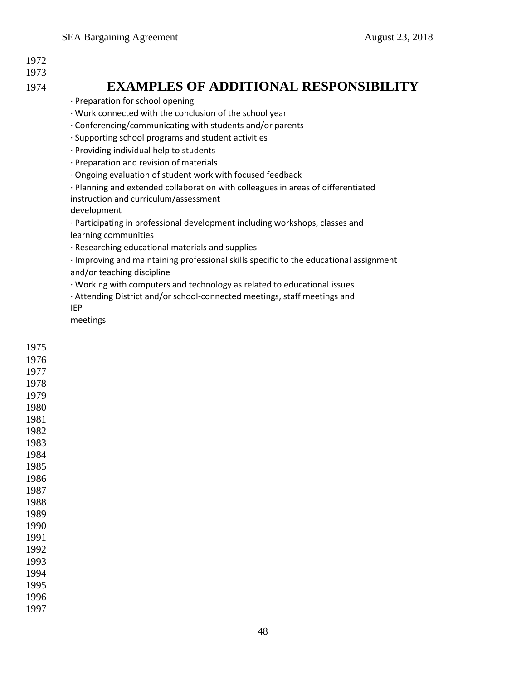- 1972
- 1973

# 1974 **EXAMPLES OF ADDITIONAL RESPONSIBILITY**

- · Preparation for school opening
- · Work connected with the conclusion of the school year
- · Conferencing/communicating with students and/or parents
- · Supporting school programs and student activities
- · Providing individual help to students
- · Preparation and revision of materials
- · Ongoing evaluation of student work with focused feedback
- · Planning and extended collaboration with colleagues in areas of differentiated instruction and curriculum/assessment

development

- · Participating in professional development including workshops, classes and learning communities
- · Researching educational materials and supplies
- · Improving and maintaining professional skills specific to the educational assignment and/or teaching discipline
- · Working with computers and technology as related to educational issues
- · Attending District and/or school-connected meetings, staff meetings and
- IEP

meetings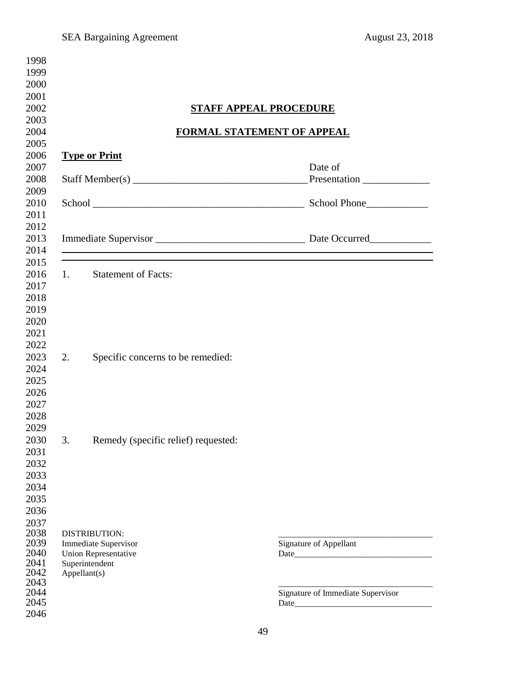|                                                             | <b>STAFF APPEAL PROCEDURE</b>                                                                                  |                         |
|-------------------------------------------------------------|----------------------------------------------------------------------------------------------------------------|-------------------------|
| FORMAL STATEMENT OF APPEAL                                  |                                                                                                                |                         |
|                                                             | <b>Type or Print</b>                                                                                           |                         |
|                                                             |                                                                                                                | Date of<br>Presentation |
|                                                             |                                                                                                                |                         |
| <u> 1989 - Johann Stoff, amerikansk politiker (d. 1989)</u> |                                                                                                                |                         |
| 1.                                                          | ,我们也不会有什么。""我们的人,我们也不会有什么?""我们的人,我们也不会有什么?""我们的人,我们也不会有什么?""我们的人,我们也不会有什么?""我们的人<br><b>Statement of Facts:</b> |                         |
| 2.                                                          | Specific concerns to be remedied:                                                                              |                         |
| 3.                                                          | Remedy (specific relief) requested:                                                                            |                         |
|                                                             | <b>DISTRIBUTION:</b><br><b>Immediate Supervisor</b><br>Union Representative<br>Superintendent                  | Signature of Appellant  |